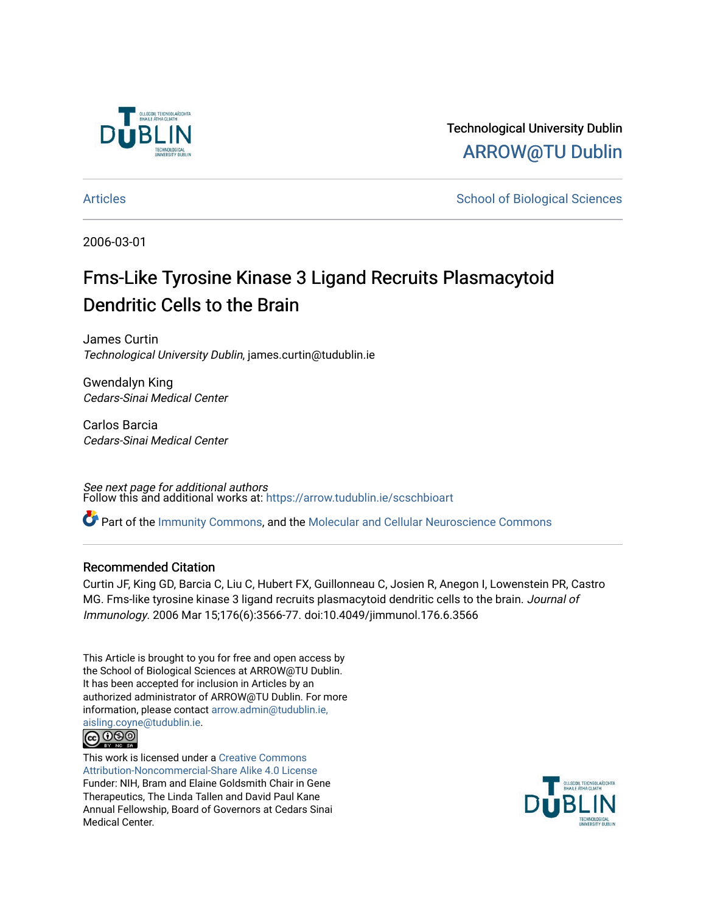

Technological University Dublin [ARROW@TU Dublin](https://arrow.tudublin.ie/) 

[Articles](https://arrow.tudublin.ie/scschbioart) **School of Biological Sciences** School of Biological Sciences

2006-03-01

# Fms-Like Tyrosine Kinase 3 Ligand Recruits Plasmacytoid Dendritic Cells to the Brain

James Curtin Technological University Dublin, james.curtin@tudublin.ie

Gwendalyn King Cedars-Sinai Medical Center

Carlos Barcia Cedars-Sinai Medical Center

See next page for additional authors Follow this and additional works at: [https://arrow.tudublin.ie/scschbioart](https://arrow.tudublin.ie/scschbioart?utm_source=arrow.tudublin.ie%2Fscschbioart%2F17&utm_medium=PDF&utm_campaign=PDFCoverPages)

Part of the [Immunity Commons,](http://network.bepress.com/hgg/discipline/34?utm_source=arrow.tudublin.ie%2Fscschbioart%2F17&utm_medium=PDF&utm_campaign=PDFCoverPages) and the [Molecular and Cellular Neuroscience Commons](http://network.bepress.com/hgg/discipline/60?utm_source=arrow.tudublin.ie%2Fscschbioart%2F17&utm_medium=PDF&utm_campaign=PDFCoverPages) 

# Recommended Citation

Curtin JF, King GD, Barcia C, Liu C, Hubert FX, Guillonneau C, Josien R, Anegon I, Lowenstein PR, Castro MG. Fms-like tyrosine kinase 3 ligand recruits plasmacytoid dendritic cells to the brain. Journal of Immunology. 2006 Mar 15;176(6):3566-77. doi:10.4049/jimmunol.176.6.3566

This Article is brought to you for free and open access by the School of Biological Sciences at ARROW@TU Dublin. It has been accepted for inclusion in Articles by an authorized administrator of ARROW@TU Dublin. For more information, please contact [arrow.admin@tudublin.ie,](mailto:arrow.admin@tudublin.ie,%20aisling.coyne@tudublin.ie)  [aisling.coyne@tudublin.ie.](mailto:arrow.admin@tudublin.ie,%20aisling.coyne@tudublin.ie)



This work is licensed under a [Creative Commons](http://creativecommons.org/licenses/by-nc-sa/4.0/) [Attribution-Noncommercial-Share Alike 4.0 License](http://creativecommons.org/licenses/by-nc-sa/4.0/) Funder: NIH, Bram and Elaine Goldsmith Chair in Gene Therapeutics, The Linda Tallen and David Paul Kane Annual Fellowship, Board of Governors at Cedars Sinai Medical Center.

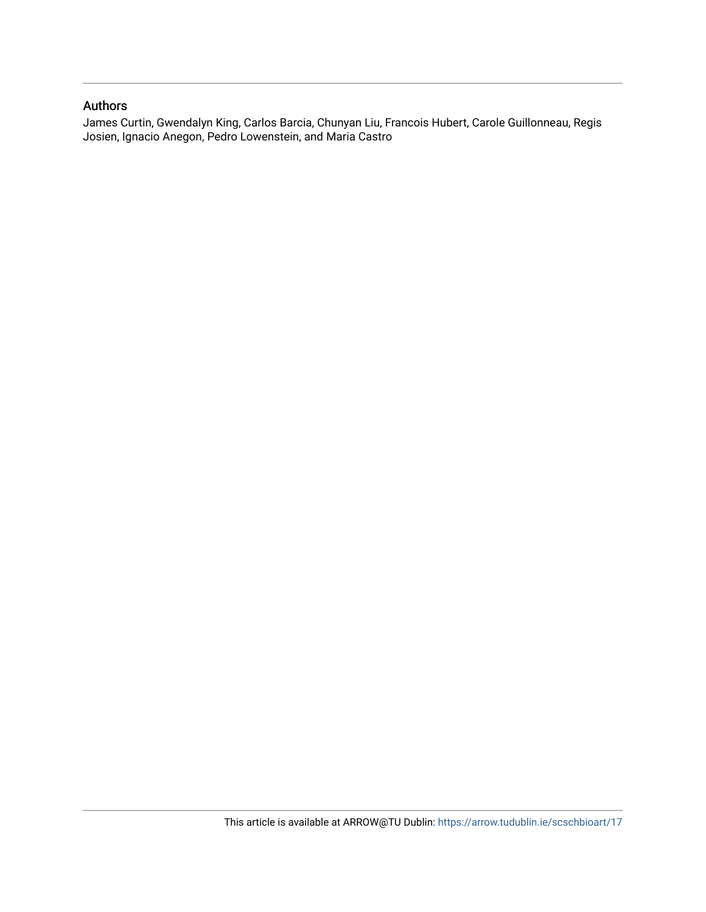# Authors

James Curtin, Gwendalyn King, Carlos Barcia, Chunyan Liu, Francois Hubert, Carole Guillonneau, Regis Josien, Ignacio Anegon, Pedro Lowenstein, and Maria Castro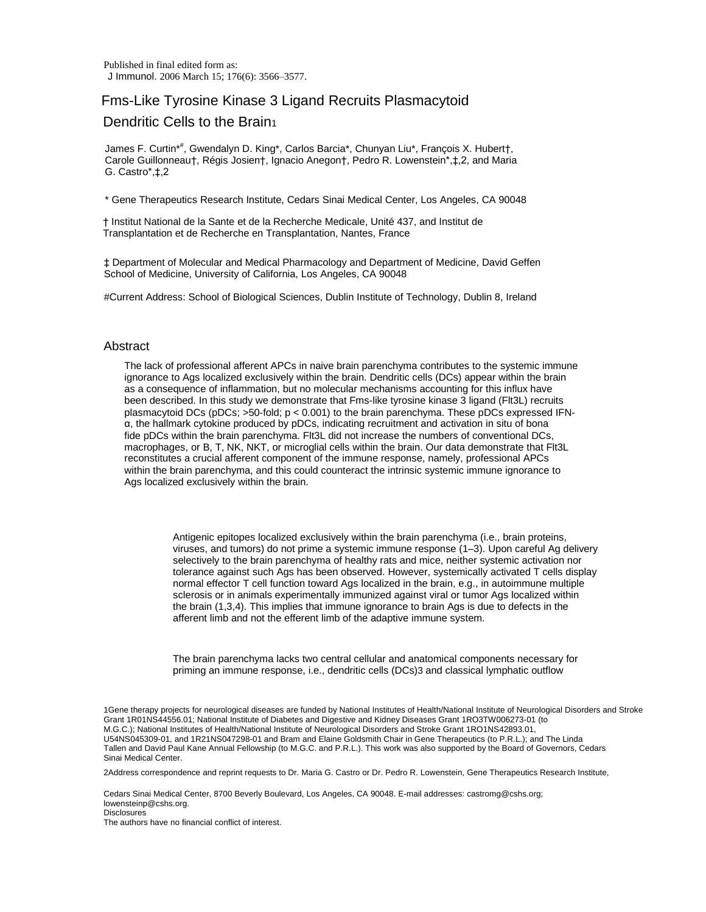Published in final edited form as: J Immunol. 2006 March 15; 176(6): 3566–3577.

# Fms-Like Tyrosine Kinase 3 Ligand Recruits Plasmacytoid

# Dendritic Cells to the Brain<sub>1</sub>

James F. Curtin\* # , Gwendalyn D. King\*, Carlos Barcia\*, Chunyan Liu\*, François X. Hubert†, Carole Guillonneau†, Régis Josien†, Ignacio Anegon†, Pedro R. Lowenstein\*,‡,2, and Maria G. Castro\*,‡,2

\* Gene Therapeutics Research Institute, Cedars Sinai Medical Center, Los Angeles, CA 90048

† Institut National de la Sante et de la Recherche Medicale, Unité 437, and Institut de Transplantation et de Recherche en Transplantation, Nantes, France

‡ Department of Molecular and Medical Pharmacology and Department of Medicine, David Geffen School of Medicine, University of California, Los Angeles, CA 90048

#Current Address: School of Biological Sciences, Dublin Institute of Technology, Dublin 8, Ireland

### **Abstract**

The lack of professional afferent APCs in naive brain parenchyma contributes to the systemic immune ignorance to Ags localized exclusively within the brain. Dendritic cells (DCs) appear within the brain as a consequence of inflammation, but no molecular mechanisms accounting for this influx have been described. In this study we demonstrate that Fms-like tyrosine kinase 3 ligand (Flt3L) recruits plasmacytoid DCs (pDCs; >50-fold; p < 0.001) to the brain parenchyma. These pDCs expressed IFNα, the hallmark cytokine produced by pDCs, indicating recruitment and activation in situ of bona fide pDCs within the brain parenchyma. Flt3L did not increase the numbers of conventional DCs, macrophages, or B, T, NK, NKT, or microglial cells within the brain. Our data demonstrate that Flt3L reconstitutes a crucial afferent component of the immune response, namely, professional APCs within the brain parenchyma, and this could counteract the intrinsic systemic immune ignorance to Ags localized exclusively within the brain.

> Antigenic epitopes localized exclusively within the brain parenchyma (i.e., brain proteins, viruses, and tumors) do not prime a systemic immune response (1–3). Upon careful Ag delivery selectively to the brain parenchyma of healthy rats and mice, neither systemic activation nor tolerance against such Ags has been observed. However, systemically activated T cells display normal effector T cell function toward Ags localized in the brain, e.g., in autoimmune multiple sclerosis or in animals experimentally immunized against viral or tumor Ags localized within the brain (1,3,4). This implies that immune ignorance to brain Ags is due to defects in the afferent limb and not the efferent limb of the adaptive immune system.

The brain parenchyma lacks two central cellular and anatomical components necessary for priming an immune response, i.e., dendritic cells (DCs)3 and classical lymphatic outflow

1Gene therapy projects for neurological diseases are funded by National Institutes of Health/National Institute of Neurological Disorders and Stroke Grant 1R01NS44556.01; National Institute of Diabetes and Digestive and Kidney Diseases Grant 1RO3TW006273-01 (to M.G.C.); National Institutes of Health/National Institute of Neurological Disorders and Stroke Grant 1RO1NS42893.01, U54NS045309-01, and 1R21NS047298-01 and Bram and Elaine Goldsmith Chair in Gene Therapeutics (to P.R.L.); and The Linda Tallen and David Paul Kane Annual Fellowship (to M.G.C. and P.R.L.). This work was also supported by the Board of Governors, Cedars Sinai Medical Center.

2Address correspondence and reprint requests to Dr. Maria G. Castro or Dr. Pedro R. Lowenstein, Gene Therapeutics Research Institute,

Cedars Sinai Medical Center, 8700 Beverly Boulevard, Los Angeles, CA 90048. E-mail addresses: castromg@cshs.org; lowensteinp@cshs.org.

**Disclosures** 

The authors have no financial conflict of interest.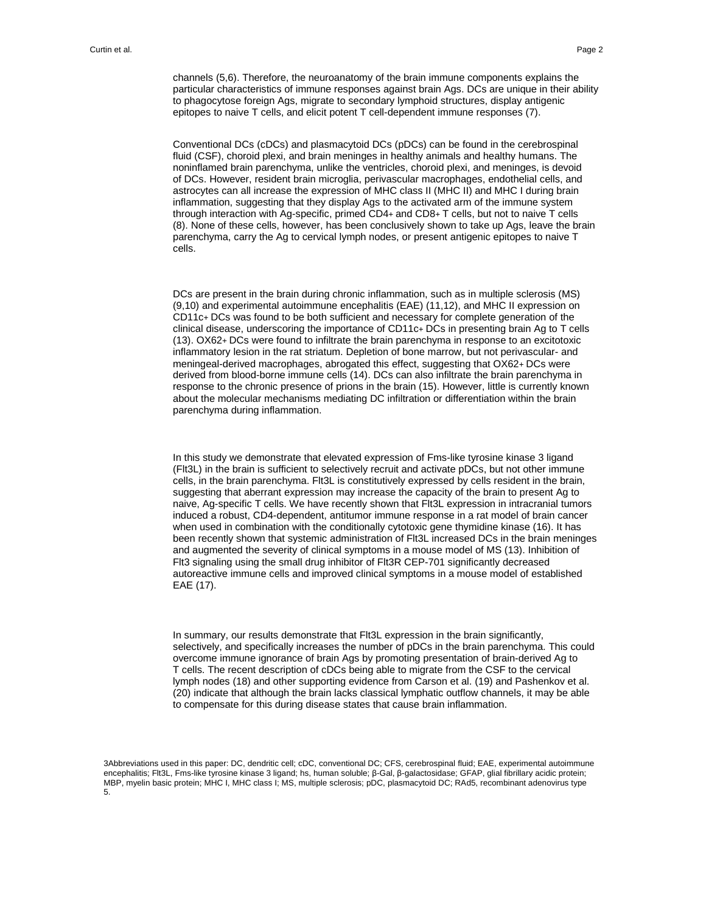channels (5,6). Therefore, the neuroanatomy of the brain immune components explains the particular characteristics of immune responses against brain Ags. DCs are unique in their ability to phagocytose foreign Ags, migrate to secondary lymphoid structures, display antigenic epitopes to naive T cells, and elicit potent T cell-dependent immune responses (7).

Conventional DCs (cDCs) and plasmacytoid DCs (pDCs) can be found in the cerebrospinal fluid (CSF), choroid plexi, and brain meninges in healthy animals and healthy humans. The noninflamed brain parenchyma, unlike the ventricles, choroid plexi, and meninges, is devoid of DCs. However, resident brain microglia, perivascular macrophages, endothelial cells, and astrocytes can all increase the expression of MHC class II (MHC II) and MHC I during brain inflammation, suggesting that they display Ags to the activated arm of the immune system through interaction with Ag-specific, primed CD4+ and CD8+ T cells, but not to naive T cells (8). None of these cells, however, has been conclusively shown to take up Ags, leave the brain parenchyma, carry the Ag to cervical lymph nodes, or present antigenic epitopes to naive T cells.

DCs are present in the brain during chronic inflammation, such as in multiple sclerosis (MS) (9,10) and experimental autoimmune encephalitis (EAE) (11,12), and MHC II expression on CD11c+ DCs was found to be both sufficient and necessary for complete generation of the clinical disease, underscoring the importance of CD11c+ DCs in presenting brain Ag to T cells (13). OX62+ DCs were found to infiltrate the brain parenchyma in response to an excitotoxic inflammatory lesion in the rat striatum. Depletion of bone marrow, but not perivascular- and meningeal-derived macrophages, abrogated this effect, suggesting that OX62+ DCs were derived from blood-borne immune cells (14). DCs can also infiltrate the brain parenchyma in response to the chronic presence of prions in the brain (15). However, little is currently known about the molecular mechanisms mediating DC infiltration or differentiation within the brain parenchyma during inflammation.

In this study we demonstrate that elevated expression of Fms-like tyrosine kinase 3 ligand (Flt3L) in the brain is sufficient to selectively recruit and activate pDCs, but not other immune cells, in the brain parenchyma. Flt3L is constitutively expressed by cells resident in the brain, suggesting that aberrant expression may increase the capacity of the brain to present Ag to naive, Ag-specific T cells. We have recently shown that Flt3L expression in intracranial tumors induced a robust, CD4-dependent, antitumor immune response in a rat model of brain cancer when used in combination with the conditionally cytotoxic gene thymidine kinase (16). It has been recently shown that systemic administration of Flt3L increased DCs in the brain meninges and augmented the severity of clinical symptoms in a mouse model of MS (13). Inhibition of Flt3 signaling using the small drug inhibitor of Flt3R CEP-701 significantly decreased autoreactive immune cells and improved clinical symptoms in a mouse model of established EAE (17).

In summary, our results demonstrate that Flt3L expression in the brain significantly, selectively, and specifically increases the number of pDCs in the brain parenchyma. This could overcome immune ignorance of brain Ags by promoting presentation of brain-derived Ag to T cells. The recent description of cDCs being able to migrate from the CSF to the cervical lymph nodes (18) and other supporting evidence from Carson et al. (19) and Pashenkov et al. (20) indicate that although the brain lacks classical lymphatic outflow channels, it may be able to compensate for this during disease states that cause brain inflammation.

3Abbreviations used in this paper: DC, dendritic cell; cDC, conventional DC; CFS, cerebrospinal fluid; EAE, experimental autoimmune encephalitis; Flt3L, Fms-like tyrosine kinase 3 ligand; hs, human soluble; β-Gal, β-galactosidase; GFAP, glial fibrillary acidic protein; MBP, myelin basic protein; MHC I, MHC class I; MS, multiple sclerosis; pDC, plasmacytoid DC; RAd5, recombinant adenovirus type 5.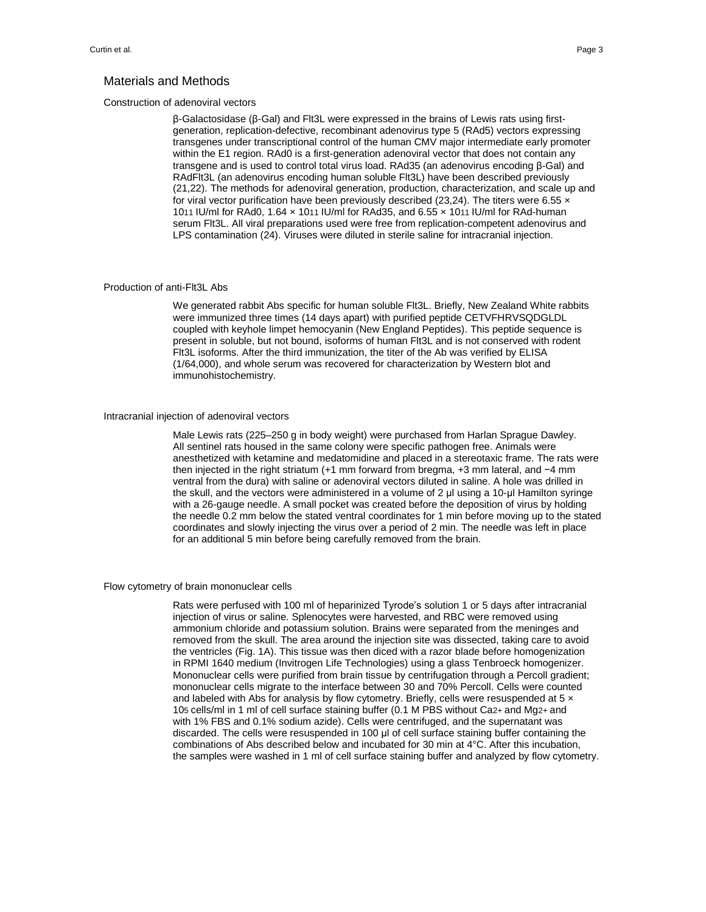#### Materials and Methods

#### Construction of adenoviral vectors

β-Galactosidase (β-Gal) and Flt3L were expressed in the brains of Lewis rats using firstgeneration, replication-defective, recombinant adenovirus type 5 (RAd5) vectors expressing transgenes under transcriptional control of the human CMV major intermediate early promoter within the E1 region. RAd0 is a first-generation adenoviral vector that does not contain any transgene and is used to control total virus load. RAd35 (an adenovirus encoding β-Gal) and RAdFlt3L (an adenovirus encoding human soluble Flt3L) have been described previously (21,22). The methods for adenoviral generation, production, characterization, and scale up and for viral vector purification have been previously described (23,24). The titers were 6.55  $\times$ 1011 IU/ml for RAd0, 1.64 × 1011 IU/ml for RAd35, and 6.55 × 1011 IU/ml for RAd-human serum Flt3L. All viral preparations used were free from replication-competent adenovirus and LPS contamination (24). Viruses were diluted in sterile saline for intracranial injection.

#### Production of anti-Flt3L Abs

We generated rabbit Abs specific for human soluble Flt3L. Briefly, New Zealand White rabbits were immunized three times (14 days apart) with purified peptide CETVFHRVSQDGLDL coupled with keyhole limpet hemocyanin (New England Peptides). This peptide sequence is present in soluble, but not bound, isoforms of human Flt3L and is not conserved with rodent Flt3L isoforms. After the third immunization, the titer of the Ab was verified by ELISA (1/64,000), and whole serum was recovered for characterization by Western blot and immunohistochemistry.

#### Intracranial injection of adenoviral vectors

Male Lewis rats (225–250 g in body weight) were purchased from Harlan Sprague Dawley. All sentinel rats housed in the same colony were specific pathogen free. Animals were anesthetized with ketamine and medatomidine and placed in a stereotaxic frame. The rats were then injected in the right striatum (+1 mm forward from bregma, +3 mm lateral, and −4 mm ventral from the dura) with saline or adenoviral vectors diluted in saline. A hole was drilled in the skull, and the vectors were administered in a volume of 2 μl using a 10-μl Hamilton syringe with a 26-gauge needle. A small pocket was created before the deposition of virus by holding the needle 0.2 mm below the stated ventral coordinates for 1 min before moving up to the stated coordinates and slowly injecting the virus over a period of 2 min. The needle was left in place for an additional 5 min before being carefully removed from the brain.

#### Flow cytometry of brain mononuclear cells

Rats were perfused with 100 ml of heparinized Tyrode's solution 1 or 5 days after intracranial injection of virus or saline. Splenocytes were harvested, and RBC were removed using ammonium chloride and potassium solution. Brains were separated from the meninges and removed from the skull. The area around the injection site was dissected, taking care to avoid the ventricles (Fig. 1A). This tissue was then diced with a razor blade before homogenization in RPMI 1640 medium (Invitrogen Life Technologies) using a glass Tenbroeck homogenizer. Mononuclear cells were purified from brain tissue by centrifugation through a Percoll gradient; mononuclear cells migrate to the interface between 30 and 70% Percoll. Cells were counted and labeled with Abs for analysis by flow cytometry. Briefly, cells were resuspended at 5  $\times$ 105 cells/ml in 1 ml of cell surface staining buffer (0.1 M PBS without Ca2+ and Mg2+ and with 1% FBS and 0.1% sodium azide). Cells were centrifuged, and the supernatant was discarded. The cells were resuspended in 100 μl of cell surface staining buffer containing the combinations of Abs described below and incubated for 30 min at 4°C. After this incubation, the samples were washed in 1 ml of cell surface staining buffer and analyzed by flow cytometry.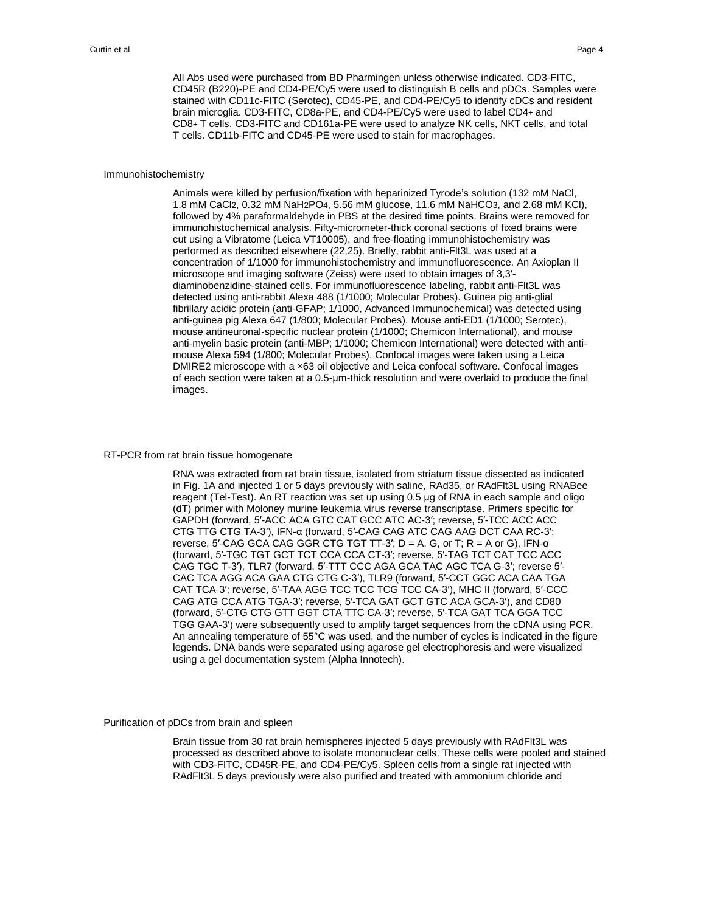All Abs used were purchased from BD Pharmingen unless otherwise indicated. CD3-FITC, CD45R (B220)-PE and CD4-PE/Cy5 were used to distinguish B cells and pDCs. Samples were stained with CD11c-FITC (Serotec), CD45-PE, and CD4-PE/Cy5 to identify cDCs and resident brain microglia. CD3-FITC, CD8a-PE, and CD4-PE/Cy5 were used to label CD4+ and CD8+ T cells. CD3-FITC and CD161a-PE were used to analyze NK cells, NKT cells, and total T cells. CD11b-FITC and CD45-PE were used to stain for macrophages.

#### Immunohistochemistry

Animals were killed by perfusion/fixation with heparinized Tyrode's solution (132 mM NaCl, 1.8 mM CaCl2, 0.32 mM NaH2PO4, 5.56 mM glucose, 11.6 mM NaHCO3, and 2.68 mM KCl), followed by 4% paraformaldehyde in PBS at the desired time points. Brains were removed for immunohistochemical analysis. Fifty-micrometer-thick coronal sections of fixed brains were cut using a Vibratome (Leica VT10005), and free-floating immunohistochemistry was performed as described elsewhere (22,25). Briefly, rabbit anti-Flt3L was used at a concentration of 1/1000 for immunohistochemistry and immunofluorescence. An Axioplan II microscope and imaging software (Zeiss) were used to obtain images of 3,3′ diaminobenzidine-stained cells. For immunofluorescence labeling, rabbit anti-Flt3L was detected using anti-rabbit Alexa 488 (1/1000; Molecular Probes). Guinea pig anti-glial fibrillary acidic protein (anti-GFAP; 1/1000, Advanced Immunochemical) was detected using anti-guinea pig Alexa 647 (1/800; Molecular Probes). Mouse anti-ED1 (1/1000; Serotec), mouse antineuronal-specific nuclear protein (1/1000; Chemicon International), and mouse anti-myelin basic protein (anti-MBP; 1/1000; Chemicon International) were detected with antimouse Alexa 594 (1/800; Molecular Probes). Confocal images were taken using a Leica DMIRE2 microscope with a x63 oil objective and Leica confocal software. Confocal images of each section were taken at a 0.5-μm-thick resolution and were overlaid to produce the final images.

#### RT-PCR from rat brain tissue homogenate

RNA was extracted from rat brain tissue, isolated from striatum tissue dissected as indicated in Fig. 1A and injected 1 or 5 days previously with saline, RAd35, or RAdFlt3L using RNABee reagent (Tel-Test). An RT reaction was set up using 0.5 μg of RNA in each sample and oligo (dT) primer with Moloney murine leukemia virus reverse transcriptase. Primers specific for GAPDH (forward, 5′-ACC ACA GTC CAT GCC ATC AC-3′; reverse, 5′-TCC ACC ACC CTG TTG CTG TA-3′), IFN-α (forward, 5′-CAG CAG ATC CAG AAG DCT CAA RC-3′; reverse, 5'-CAG GCA CAG GGR CTG TGT TT-3';  $D = A$ , G, or T; R = A or G), IFN- $α$ (forward, 5′-TGC TGT GCT TCT CCA CCA CT-3′; reverse, 5′-TAG TCT CAT TCC ACC CAG TGC T-3′), TLR7 (forward, 5′-TTT CCC AGA GCA TAC AGC TCA G-3′; reverse 5′- CAC TCA AGG ACA GAA CTG CTG C-3′), TLR9 (forward, 5′-CCT GGC ACA CAA TGA CAT TCA-3′; reverse, 5′-TAA AGG TCC TCC TCG TCC CA-3′), MHC II (forward, 5′-CCC CAG ATG CCA ATG TGA-3′; reverse, 5′-TCA GAT GCT GTC ACA GCA-3′), and CD80 (forward, 5′-CTG CTG GTT GGT CTA TTC CA-3′; reverse, 5′-TCA GAT TCA GGA TCC TGG GAA-3′) were subsequently used to amplify target sequences from the cDNA using PCR. An annealing temperature of 55°C was used, and the number of cycles is indicated in the figure legends. DNA bands were separated using agarose gel electrophoresis and were visualized using a gel documentation system (Alpha Innotech).

#### Purification of pDCs from brain and spleen

Brain tissue from 30 rat brain hemispheres injected 5 days previously with RAdFlt3L was processed as described above to isolate mononuclear cells. These cells were pooled and stained with CD3-FITC, CD45R-PE, and CD4-PE/Cy5. Spleen cells from a single rat injected with RAdFlt3L 5 days previously were also purified and treated with ammonium chloride and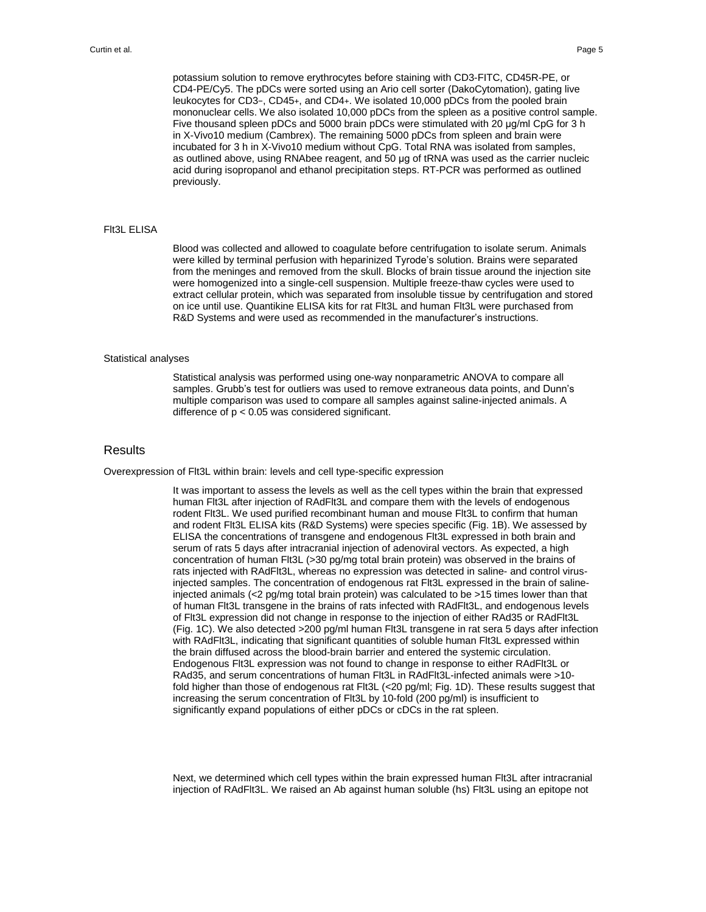potassium solution to remove erythrocytes before staining with CD3-FITC, CD45R-PE, or CD4-PE/Cy5. The pDCs were sorted using an Ario cell sorter (DakoCytomation), gating live leukocytes for CD3−, CD45+, and CD4+. We isolated 10,000 pDCs from the pooled brain mononuclear cells. We also isolated 10,000 pDCs from the spleen as a positive control sample. Five thousand spleen pDCs and 5000 brain pDCs were stimulated with 20 μg/ml CpG for 3 h in X-Vivo10 medium (Cambrex). The remaining 5000 pDCs from spleen and brain were incubated for 3 h in X-Vivo10 medium without CpG. Total RNA was isolated from samples, as outlined above, using RNAbee reagent, and 50 μg of tRNA was used as the carrier nucleic acid during isopropanol and ethanol precipitation steps. RT-PCR was performed as outlined previously.

#### Flt3L ELISA

Blood was collected and allowed to coagulate before centrifugation to isolate serum. Animals were killed by terminal perfusion with heparinized Tyrode's solution. Brains were separated from the meninges and removed from the skull. Blocks of brain tissue around the injection site were homogenized into a single-cell suspension. Multiple freeze-thaw cycles were used to extract cellular protein, which was separated from insoluble tissue by centrifugation and stored on ice until use. Quantikine ELISA kits for rat Flt3L and human Flt3L were purchased from R&D Systems and were used as recommended in the manufacturer's instructions.

#### Statistical analyses

Statistical analysis was performed using one-way nonparametric ANOVA to compare all samples. Grubb's test for outliers was used to remove extraneous data points, and Dunn's multiple comparison was used to compare all samples against saline-injected animals. A difference of p < 0.05 was considered significant.

#### Results

Overexpression of Flt3L within brain: levels and cell type-specific expression

It was important to assess the levels as well as the cell types within the brain that expressed human Flt3L after injection of RAdFlt3L and compare them with the levels of endogenous rodent Flt3L. We used purified recombinant human and mouse Flt3L to confirm that human and rodent Flt3L ELISA kits (R&D Systems) were species specific (Fig. 1B). We assessed by ELISA the concentrations of transgene and endogenous Flt3L expressed in both brain and serum of rats 5 days after intracranial injection of adenoviral vectors. As expected, a high concentration of human Flt3L (>30 pg/mg total brain protein) was observed in the brains of rats injected with RAdFlt3L, whereas no expression was detected in saline- and control virusinjected samples. The concentration of endogenous rat Flt3L expressed in the brain of salineinjected animals (<2 pg/mg total brain protein) was calculated to be >15 times lower than that of human Flt3L transgene in the brains of rats infected with RAdFlt3L, and endogenous levels of Flt3L expression did not change in response to the injection of either RAd35 or RAdFlt3L (Fig. 1C). We also detected >200 pg/ml human Flt3L transgene in rat sera 5 days after infection with RAdFlt3L, indicating that significant quantities of soluble human Flt3L expressed within the brain diffused across the blood-brain barrier and entered the systemic circulation. Endogenous Flt3L expression was not found to change in response to either RAdFlt3L or RAd35, and serum concentrations of human Flt3L in RAdFlt3L-infected animals were >10 fold higher than those of endogenous rat Flt3L (<20 pg/ml; Fig. 1D). These results suggest that increasing the serum concentration of Flt3L by 10-fold (200 pg/ml) is insufficient to significantly expand populations of either pDCs or cDCs in the rat spleen.

Next, we determined which cell types within the brain expressed human Flt3L after intracranial injection of RAdFlt3L. We raised an Ab against human soluble (hs) Flt3L using an epitope not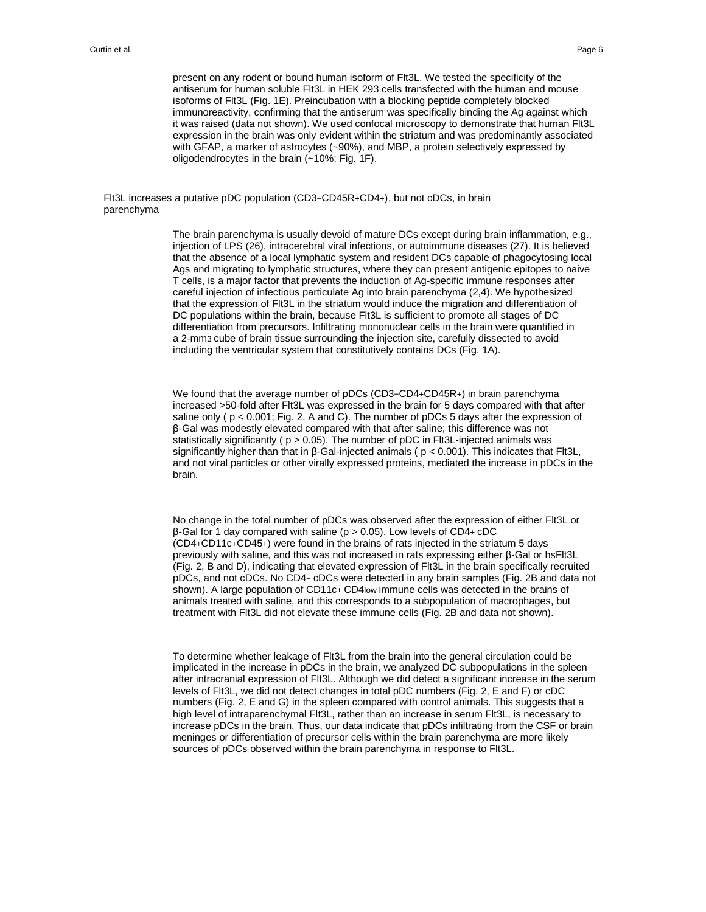present on any rodent or bound human isoform of Flt3L. We tested the specificity of the antiserum for human soluble Flt3L in HEK 293 cells transfected with the human and mouse isoforms of Flt3L (Fig. 1E). Preincubation with a blocking peptide completely blocked immunoreactivity, confirming that the antiserum was specifically binding the Ag against which it was raised (data not shown). We used confocal microscopy to demonstrate that human Flt3L expression in the brain was only evident within the striatum and was predominantly associated with GFAP, a marker of astrocytes (~90%), and MBP, a protein selectively expressed by oligodendrocytes in the brain (~10%; Fig. 1F).

Flt3L increases a putative pDC population (CD3−CD45R+CD4+), but not cDCs, in brain parenchyma

> The brain parenchyma is usually devoid of mature DCs except during brain inflammation, e.g., injection of LPS (26), intracerebral viral infections, or autoimmune diseases (27). It is believed that the absence of a local lymphatic system and resident DCs capable of phagocytosing local Ags and migrating to lymphatic structures, where they can present antigenic epitopes to naive T cells, is a major factor that prevents the induction of Ag-specific immune responses after careful injection of infectious particulate Ag into brain parenchyma (2,4). We hypothesized that the expression of Flt3L in the striatum would induce the migration and differentiation of DC populations within the brain, because Flt3L is sufficient to promote all stages of DC differentiation from precursors. Infiltrating mononuclear cells in the brain were quantified in a 2-mm3 cube of brain tissue surrounding the injection site, carefully dissected to avoid including the ventricular system that constitutively contains DCs (Fig. 1A).

> We found that the average number of pDCs (CD3−CD4+CD45R+) in brain parenchyma increased >50-fold after Flt3L was expressed in the brain for 5 days compared with that after saline only ( $p < 0.001$ ; Fig. 2, A and C). The number of pDCs 5 days after the expression of β-Gal was modestly elevated compared with that after saline; this difference was not statistically significantly ( p > 0.05). The number of pDC in Flt3L-injected animals was significantly higher than that in β-Gal-injected animals ( p < 0.001). This indicates that Flt3L, and not viral particles or other virally expressed proteins, mediated the increase in pDCs in the brain.

> No change in the total number of pDCs was observed after the expression of either Flt3L or β-Gal for 1 day compared with saline (p > 0.05). Low levels of CD4+ cDC (CD4+CD11c+CD45+) were found in the brains of rats injected in the striatum 5 days previously with saline, and this was not increased in rats expressing either β-Gal or hsFlt3L (Fig. 2, B and D), indicating that elevated expression of Flt3L in the brain specifically recruited pDCs, and not cDCs. No CD4− cDCs were detected in any brain samples (Fig. 2B and data not shown). A large population of CD11c+ CD4low immune cells was detected in the brains of animals treated with saline, and this corresponds to a subpopulation of macrophages, but treatment with Flt3L did not elevate these immune cells (Fig. 2B and data not shown).

> To determine whether leakage of Flt3L from the brain into the general circulation could be implicated in the increase in pDCs in the brain, we analyzed DC subpopulations in the spleen after intracranial expression of Flt3L. Although we did detect a significant increase in the serum levels of Flt3L, we did not detect changes in total pDC numbers (Fig. 2, E and F) or cDC numbers (Fig. 2, E and G) in the spleen compared with control animals. This suggests that a high level of intraparenchymal Flt3L, rather than an increase in serum Flt3L, is necessary to increase pDCs in the brain. Thus, our data indicate that pDCs infiltrating from the CSF or brain meninges or differentiation of precursor cells within the brain parenchyma are more likely sources of pDCs observed within the brain parenchyma in response to Flt3L.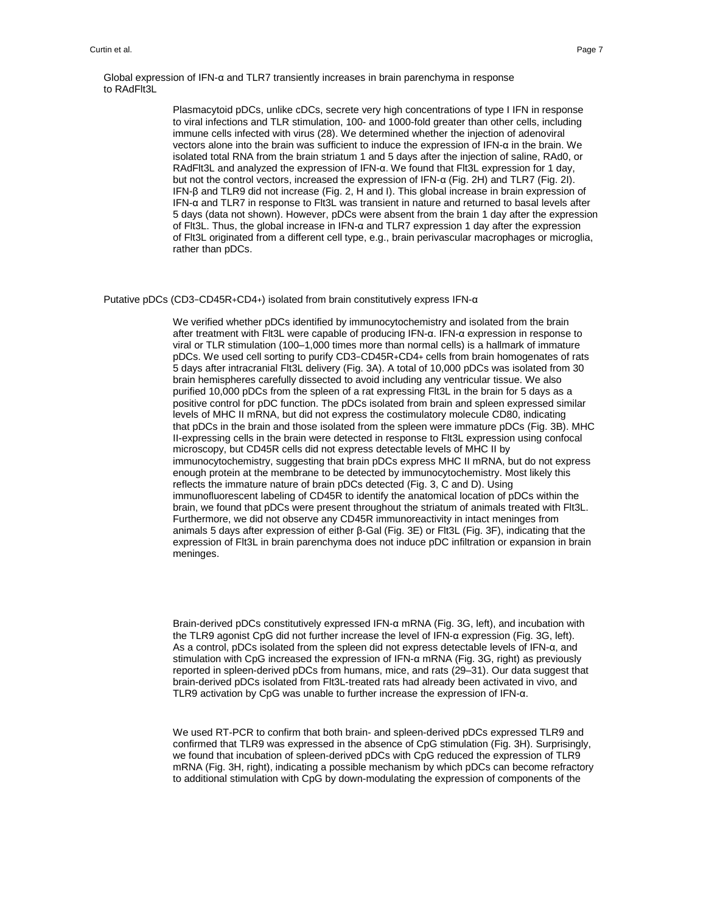Global expression of IFN-α and TLR7 transiently increases in brain parenchyma in response to RAdFlt3L

> Plasmacytoid pDCs, unlike cDCs, secrete very high concentrations of type I IFN in response to viral infections and TLR stimulation, 100- and 1000-fold greater than other cells, including immune cells infected with virus (28). We determined whether the injection of adenoviral vectors alone into the brain was sufficient to induce the expression of IFN-α in the brain. We isolated total RNA from the brain striatum 1 and 5 days after the injection of saline, RAd0, or RAdFlt3L and analyzed the expression of IFN-α. We found that Flt3L expression for 1 day, but not the control vectors, increased the expression of IFN-α (Fig. 2H) and TLR7 (Fig. 2I). IFN-β and TLR9 did not increase (Fig. 2, H and I). This global increase in brain expression of IFN-α and TLR7 in response to Flt3L was transient in nature and returned to basal levels after 5 days (data not shown). However, pDCs were absent from the brain 1 day after the expression of Flt3L. Thus, the global increase in IFN-α and TLR7 expression 1 day after the expression of Flt3L originated from a different cell type, e.g., brain perivascular macrophages or microglia, rather than pDCs.

Putative pDCs (CD3−CD45R+CD4+) isolated from brain constitutively express IFN-α

We verified whether pDCs identified by immunocytochemistry and isolated from the brain after treatment with Flt3L were capable of producing IFN-α. IFN-α expression in response to viral or TLR stimulation (100–1,000 times more than normal cells) is a hallmark of immature pDCs. We used cell sorting to purify CD3−CD45R+CD4+ cells from brain homogenates of rats 5 days after intracranial Flt3L delivery (Fig. 3A). A total of 10,000 pDCs was isolated from 30 brain hemispheres carefully dissected to avoid including any ventricular tissue. We also purified 10,000 pDCs from the spleen of a rat expressing Flt3L in the brain for 5 days as a positive control for pDC function. The pDCs isolated from brain and spleen expressed similar levels of MHC II mRNA, but did not express the costimulatory molecule CD80, indicating that pDCs in the brain and those isolated from the spleen were immature pDCs (Fig. 3B). MHC II-expressing cells in the brain were detected in response to Flt3L expression using confocal microscopy, but CD45R cells did not express detectable levels of MHC II by immunocytochemistry, suggesting that brain pDCs express MHC II mRNA, but do not express enough protein at the membrane to be detected by immunocytochemistry. Most likely this reflects the immature nature of brain pDCs detected (Fig. 3, C and D). Using immunofluorescent labeling of CD45R to identify the anatomical location of pDCs within the brain, we found that pDCs were present throughout the striatum of animals treated with Flt3L. Furthermore, we did not observe any CD45R immunoreactivity in intact meninges from animals 5 days after expression of either β-Gal (Fig. 3E) or Flt3L (Fig. 3F), indicating that the expression of Flt3L in brain parenchyma does not induce pDC infiltration or expansion in brain meninges.

Brain-derived pDCs constitutively expressed IFN-α mRNA (Fig. 3G, left), and incubation with the TLR9 agonist CpG did not further increase the level of IFN-α expression (Fig. 3G, left). As a control, pDCs isolated from the spleen did not express detectable levels of IFN-α, and stimulation with CpG increased the expression of IFN-α mRNA (Fig. 3G, right) as previously reported in spleen-derived pDCs from humans, mice, and rats (29–31). Our data suggest that brain-derived pDCs isolated from Flt3L-treated rats had already been activated in vivo, and TLR9 activation by CpG was unable to further increase the expression of IFN-α.

We used RT-PCR to confirm that both brain- and spleen-derived pDCs expressed TLR9 and confirmed that TLR9 was expressed in the absence of CpG stimulation (Fig. 3H). Surprisingly, we found that incubation of spleen-derived pDCs with CpG reduced the expression of TLR9 mRNA (Fig. 3H, right), indicating a possible mechanism by which pDCs can become refractory to additional stimulation with CpG by down-modulating the expression of components of the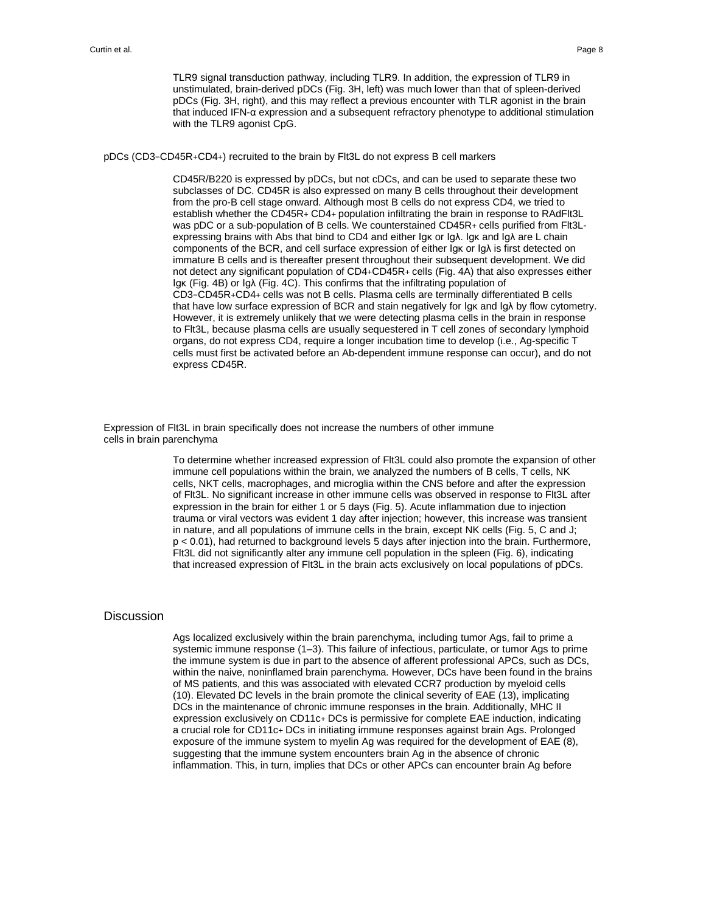TLR9 signal transduction pathway, including TLR9. In addition, the expression of TLR9 in unstimulated, brain-derived pDCs (Fig. 3H, left) was much lower than that of spleen-derived pDCs (Fig. 3H, right), and this may reflect a previous encounter with TLR agonist in the brain that induced IFN-α expression and a subsequent refractory phenotype to additional stimulation with the TLR9 agonist CpG.

pDCs (CD3−CD45R+CD4+) recruited to the brain by Flt3L do not express B cell markers

CD45R/B220 is expressed by pDCs, but not cDCs, and can be used to separate these two subclasses of DC. CD45R is also expressed on many B cells throughout their development from the pro-B cell stage onward. Although most B cells do not express CD4, we tried to establish whether the CD45R+ CD4+ population infiltrating the brain in response to RAdFlt3L was pDC or a sub-population of B cells. We counterstained CD45R+ cells purified from Flt3Lexpressing brains with Abs that bind to CD4 and either Igκ or Igλ. Igκ and Igλ are L chain components of the BCR, and cell surface expression of either Igκ or Igλ is first detected on immature B cells and is thereafter present throughout their subsequent development. We did not detect any significant population of CD4+CD45R+ cells (Fig. 4A) that also expresses either Igκ (Fig. 4B) or Igλ (Fig. 4C). This confirms that the infiltrating population of CD3−CD45R+CD4+ cells was not B cells. Plasma cells are terminally differentiated B cells that have low surface expression of BCR and stain negatively for Igκ and Igλ by flow cytometry. However, it is extremely unlikely that we were detecting plasma cells in the brain in response to Flt3L, because plasma cells are usually sequestered in T cell zones of secondary lymphoid organs, do not express CD4, require a longer incubation time to develop (i.e., Ag-specific T cells must first be activated before an Ab-dependent immune response can occur), and do not express CD45R.

Expression of Flt3L in brain specifically does not increase the numbers of other immune cells in brain parenchyma

> To determine whether increased expression of Flt3L could also promote the expansion of other immune cell populations within the brain, we analyzed the numbers of B cells, T cells, NK cells, NKT cells, macrophages, and microglia within the CNS before and after the expression of Flt3L. No significant increase in other immune cells was observed in response to Flt3L after expression in the brain for either 1 or 5 days (Fig. 5). Acute inflammation due to injection trauma or viral vectors was evident 1 day after injection; however, this increase was transient in nature, and all populations of immune cells in the brain, except NK cells (Fig. 5, C and J; p < 0.01), had returned to background levels 5 days after injection into the brain. Furthermore, Flt3L did not significantly alter any immune cell population in the spleen (Fig. 6), indicating that increased expression of Flt3L in the brain acts exclusively on local populations of pDCs.

#### Discussion

Ags localized exclusively within the brain parenchyma, including tumor Ags, fail to prime a systemic immune response (1–3). This failure of infectious, particulate, or tumor Ags to prime the immune system is due in part to the absence of afferent professional APCs, such as DCs, within the naive, noninflamed brain parenchyma. However, DCs have been found in the brains of MS patients, and this was associated with elevated CCR7 production by myeloid cells (10). Elevated DC levels in the brain promote the clinical severity of EAE (13), implicating DCs in the maintenance of chronic immune responses in the brain. Additionally, MHC II expression exclusively on CD11c+ DCs is permissive for complete EAE induction, indicating a crucial role for CD11c+ DCs in initiating immune responses against brain Ags. Prolonged exposure of the immune system to myelin Ag was required for the development of EAE (8), suggesting that the immune system encounters brain Ag in the absence of chronic inflammation. This, in turn, implies that DCs or other APCs can encounter brain Ag before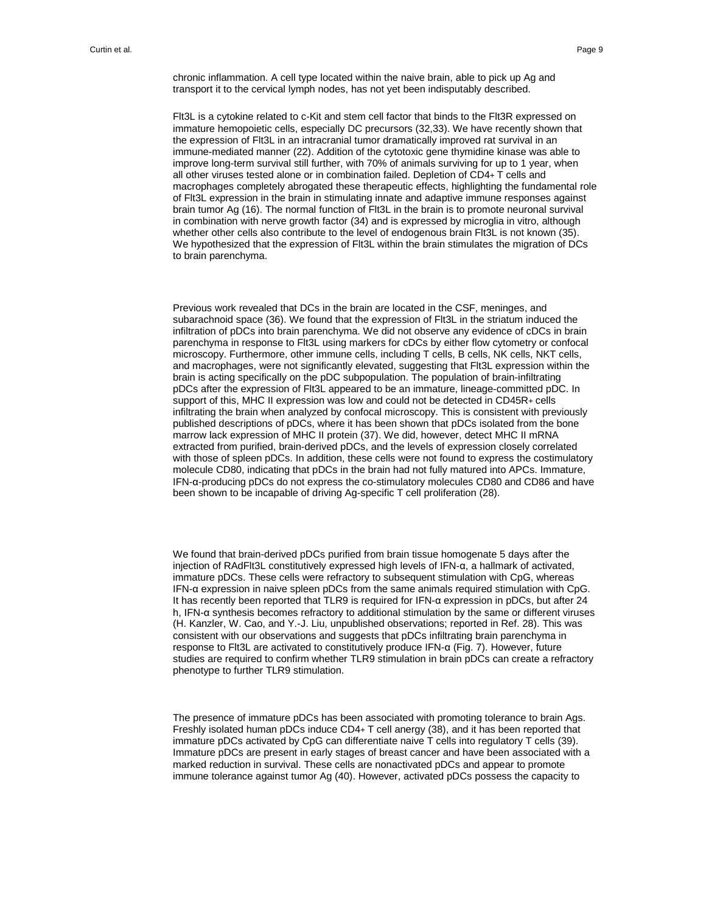chronic inflammation. A cell type located within the naive brain, able to pick up Ag and transport it to the cervical lymph nodes, has not yet been indisputably described.

Flt3L is a cytokine related to c-Kit and stem cell factor that binds to the Flt3R expressed on immature hemopoietic cells, especially DC precursors (32,33). We have recently shown that the expression of Flt3L in an intracranial tumor dramatically improved rat survival in an immune-mediated manner (22). Addition of the cytotoxic gene thymidine kinase was able to improve long-term survival still further, with 70% of animals surviving for up to 1 year, when all other viruses tested alone or in combination failed. Depletion of CD4+ T cells and macrophages completely abrogated these therapeutic effects, highlighting the fundamental role of Flt3L expression in the brain in stimulating innate and adaptive immune responses against brain tumor Ag (16). The normal function of Flt3L in the brain is to promote neuronal survival in combination with nerve growth factor (34) and is expressed by microglia in vitro, although whether other cells also contribute to the level of endogenous brain Flt3L is not known (35). We hypothesized that the expression of Flt3L within the brain stimulates the migration of DCs to brain parenchyma.

Previous work revealed that DCs in the brain are located in the CSF, meninges, and subarachnoid space (36). We found that the expression of Flt3L in the striatum induced the infiltration of pDCs into brain parenchyma. We did not observe any evidence of cDCs in brain parenchyma in response to Flt3L using markers for cDCs by either flow cytometry or confocal microscopy. Furthermore, other immune cells, including T cells, B cells, NK cells, NKT cells, and macrophages, were not significantly elevated, suggesting that Flt3L expression within the brain is acting specifically on the pDC subpopulation. The population of brain-infiltrating pDCs after the expression of Flt3L appeared to be an immature, lineage-committed pDC. In support of this, MHC II expression was low and could not be detected in CD45R+ cells infiltrating the brain when analyzed by confocal microscopy. This is consistent with previously published descriptions of pDCs, where it has been shown that pDCs isolated from the bone marrow lack expression of MHC II protein (37). We did, however, detect MHC II mRNA extracted from purified, brain-derived pDCs, and the levels of expression closely correlated with those of spleen pDCs. In addition, these cells were not found to express the costimulatory molecule CD80, indicating that pDCs in the brain had not fully matured into APCs. Immature, IFN-α-producing pDCs do not express the co-stimulatory molecules CD80 and CD86 and have been shown to be incapable of driving Ag-specific T cell proliferation (28).

We found that brain-derived pDCs purified from brain tissue homogenate 5 days after the injection of RAdFlt3L constitutively expressed high levels of IFN-α, a hallmark of activated, immature pDCs. These cells were refractory to subsequent stimulation with CpG, whereas IFN-α expression in naive spleen pDCs from the same animals required stimulation with CpG. It has recently been reported that TLR9 is required for IFN-α expression in pDCs, but after 24 h, IFN-α synthesis becomes refractory to additional stimulation by the same or different viruses (H. Kanzler, W. Cao, and Y.-J. Liu, unpublished observations; reported in Ref. 28). This was consistent with our observations and suggests that pDCs infiltrating brain parenchyma in response to Flt3L are activated to constitutively produce IFN-α (Fig. 7). However, future studies are required to confirm whether TLR9 stimulation in brain pDCs can create a refractory phenotype to further TLR9 stimulation.

The presence of immature pDCs has been associated with promoting tolerance to brain Ags. Freshly isolated human pDCs induce CD4+ T cell anergy (38), and it has been reported that immature pDCs activated by CpG can differentiate naive T cells into regulatory T cells (39). Immature pDCs are present in early stages of breast cancer and have been associated with a marked reduction in survival. These cells are nonactivated pDCs and appear to promote immune tolerance against tumor Ag (40). However, activated pDCs possess the capacity to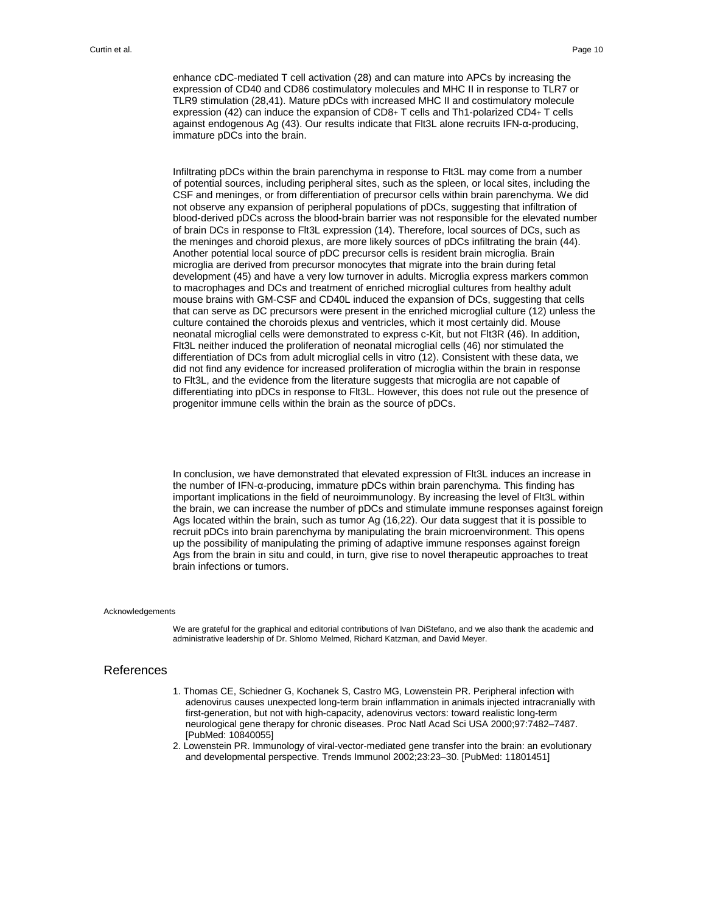enhance cDC-mediated T cell activation (28) and can mature into APCs by increasing the expression of CD40 and CD86 costimulatory molecules and MHC II in response to TLR7 or TLR9 stimulation (28,41). Mature pDCs with increased MHC II and costimulatory molecule expression (42) can induce the expansion of CD8+ T cells and Th1-polarized CD4+ T cells against endogenous Ag (43). Our results indicate that Flt3L alone recruits IFN-α-producing, immature pDCs into the brain.

Infiltrating pDCs within the brain parenchyma in response to Flt3L may come from a number of potential sources, including peripheral sites, such as the spleen, or local sites, including the CSF and meninges, or from differentiation of precursor cells within brain parenchyma. We did not observe any expansion of peripheral populations of pDCs, suggesting that infiltration of blood-derived pDCs across the blood-brain barrier was not responsible for the elevated number of brain DCs in response to Flt3L expression (14). Therefore, local sources of DCs, such as the meninges and choroid plexus, are more likely sources of pDCs infiltrating the brain (44). Another potential local source of pDC precursor cells is resident brain microglia. Brain microglia are derived from precursor monocytes that migrate into the brain during fetal development (45) and have a very low turnover in adults. Microglia express markers common to macrophages and DCs and treatment of enriched microglial cultures from healthy adult mouse brains with GM-CSF and CD40L induced the expansion of DCs, suggesting that cells that can serve as DC precursors were present in the enriched microglial culture (12) unless the culture contained the choroids plexus and ventricles, which it most certainly did. Mouse neonatal microglial cells were demonstrated to express c-Kit, but not Flt3R (46). In addition, Flt3L neither induced the proliferation of neonatal microglial cells (46) nor stimulated the differentiation of DCs from adult microglial cells in vitro (12). Consistent with these data, we did not find any evidence for increased proliferation of microglia within the brain in response to Flt3L, and the evidence from the literature suggests that microglia are not capable of differentiating into pDCs in response to Flt3L. However, this does not rule out the presence of progenitor immune cells within the brain as the source of pDCs.

In conclusion, we have demonstrated that elevated expression of Flt3L induces an increase in the number of IFN-α-producing, immature pDCs within brain parenchyma. This finding has important implications in the field of neuroimmunology. By increasing the level of Flt3L within the brain, we can increase the number of pDCs and stimulate immune responses against foreign Ags located within the brain, such as tumor Ag (16,22). Our data suggest that it is possible to recruit pDCs into brain parenchyma by manipulating the brain microenvironment. This opens up the possibility of manipulating the priming of adaptive immune responses against foreign Ags from the brain in situ and could, in turn, give rise to novel therapeutic approaches to treat brain infections or tumors.

#### Acknowledgements

We are grateful for the graphical and editorial contributions of Ivan DiStefano, and we also thank the academic and administrative leadership of Dr. Shlomo Melmed, Richard Katzman, and David Meyer.

#### References

- 1. Thomas CE, Schiedner G, Kochanek S, Castro MG, Lowenstein PR. Peripheral infection with adenovirus causes unexpected long-term brain inflammation in animals injected intracranially with first-generation, but not with high-capacity, adenovirus vectors: toward realistic long-term neurological gene therapy for chronic diseases. Proc Natl Acad Sci USA 2000;97:7482–7487. [PubMed: 10840055]
- 2. Lowenstein PR. Immunology of viral-vector-mediated gene transfer into the brain: an evolutionary and developmental perspective. Trends Immunol 2002;23:23–30. [PubMed: 11801451]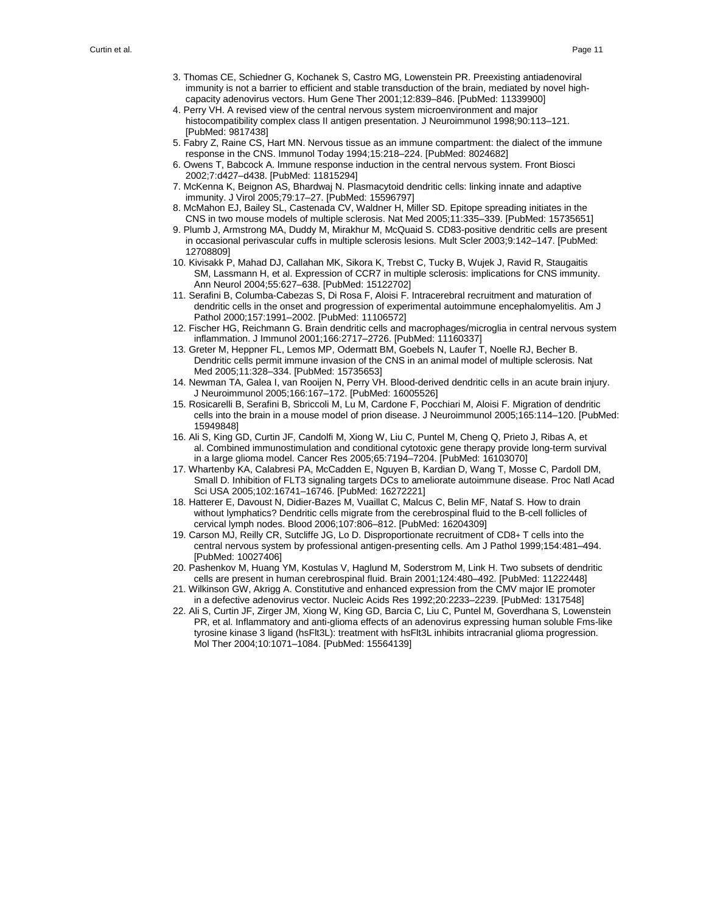- 3. Thomas CE, Schiedner G, Kochanek S, Castro MG, Lowenstein PR. Preexisting antiadenoviral immunity is not a barrier to efficient and stable transduction of the brain, mediated by novel high capacity adenovirus vectors. Hum Gene Ther 2001;12:839–846. [PubMed: 11339900]
- 4. Perry VH. A revised view of the central nervous system microenvironment and major histocompatibility complex class II antigen presentation. J Neuroimmunol 1998;90:113–121. [PubMed: 9817438]
- 5. Fabry Z, Raine CS, Hart MN. Nervous tissue as an immune compartment: the dialect of the immune response in the CNS. Immunol Today 1994;15:218–224. [PubMed: 8024682]
- 6. Owens T, Babcock A. Immune response induction in the central nervous system. Front Biosci 2002;7:d427–d438. [PubMed: 11815294]
- 7. McKenna K, Beignon AS, Bhardwaj N. Plasmacytoid dendritic cells: linking innate and adaptive immunity. J Virol 2005;79:17–27. [PubMed: 15596797]
- 8. McMahon EJ, Bailey SL, Castenada CV, Waldner H, Miller SD. Epitope spreading initiates in the CNS in two mouse models of multiple sclerosis. Nat Med 2005;11:335–339. [PubMed: 15735651]
- 9. Plumb J, Armstrong MA, Duddy M, Mirakhur M, McQuaid S. CD83-positive dendritic cells are present in occasional perivascular cuffs in multiple sclerosis lesions. Mult Scler 2003;9:142–147. [PubMed: 12708809]
- 10. Kivisakk P, Mahad DJ, Callahan MK, Sikora K, Trebst C, Tucky B, Wujek J, Ravid R, Staugaitis SM, Lassmann H, et al. Expression of CCR7 in multiple sclerosis: implications for CNS immunity. Ann Neurol 2004;55:627–638. [PubMed: 15122702]
- 11. Serafini B, Columba-Cabezas S, Di Rosa F, Aloisi F. Intracerebral recruitment and maturation of dendritic cells in the onset and progression of experimental autoimmune encephalomyelitis. Am J Pathol 2000;157:1991–2002. [PubMed: 11106572]
- 12. Fischer HG, Reichmann G. Brain dendritic cells and macrophages/microglia in central nervous system inflammation. J Immunol 2001;166:2717–2726. [PubMed: 11160337]
- 13. Greter M, Heppner FL, Lemos MP, Odermatt BM, Goebels N, Laufer T, Noelle RJ, Becher B. Dendritic cells permit immune invasion of the CNS in an animal model of multiple sclerosis. Nat Med 2005;11:328–334. [PubMed: 15735653]
- 14. Newman TA, Galea I, van Rooijen N, Perry VH. Blood-derived dendritic cells in an acute brain injury. J Neuroimmunol 2005;166:167–172. [PubMed: 16005526]
- 15. Rosicarelli B, Serafini B, Sbriccoli M, Lu M, Cardone F, Pocchiari M, Aloisi F. Migration of dendritic cells into the brain in a mouse model of prion disease. J Neuroimmunol 2005;165:114–120. [PubMed: 15949848]
- 16. Ali S, King GD, Curtin JF, Candolfi M, Xiong W, Liu C, Puntel M, Cheng Q, Prieto J, Ribas A, et al. Combined immunostimulation and conditional cytotoxic gene therapy provide long-term survival in a large glioma model. Cancer Res 2005;65:7194–7204. [PubMed: 16103070]
- 17. Whartenby KA, Calabresi PA, McCadden E, Nguyen B, Kardian D, Wang T, Mosse C, Pardoll DM, Small D. Inhibition of FLT3 signaling targets DCs to ameliorate autoimmune disease. Proc Natl Acad Sci USA 2005;102:16741–16746. [PubMed: 16272221]
- 18. Hatterer E, Davoust N, Didier-Bazes M, Vuaillat C, Malcus C, Belin MF, Nataf S. How to drain without lymphatics? Dendritic cells migrate from the cerebrospinal fluid to the B-cell follicles of cervical lymph nodes. Blood 2006;107:806–812. [PubMed: 16204309]
- 19. Carson MJ, Reilly CR, Sutcliffe JG, Lo D. Disproportionate recruitment of CD8+ T cells into the central nervous system by professional antigen-presenting cells. Am J Pathol 1999;154:481–494. [PubMed: 10027406]
- 20. Pashenkov M, Huang YM, Kostulas V, Haglund M, Soderstrom M, Link H. Two subsets of dendritic cells are present in human cerebrospinal fluid. Brain 2001;124:480–492. [PubMed: 11222448]
- 21. Wilkinson GW, Akrigg A. Constitutive and enhanced expression from the CMV major IE promoter in a defective adenovirus vector. Nucleic Acids Res 1992;20:2233–2239. [PubMed: 1317548]
- 22. Ali S, Curtin JF, Zirger JM, Xiong W, King GD, Barcia C, Liu C, Puntel M, Goverdhana S, Lowenstein PR, et al. Inflammatory and anti-glioma effects of an adenovirus expressing human soluble Fms-like tyrosine kinase 3 ligand (hsFlt3L): treatment with hsFlt3L inhibits intracranial glioma progression. Mol Ther 2004;10:1071–1084. [PubMed: 15564139]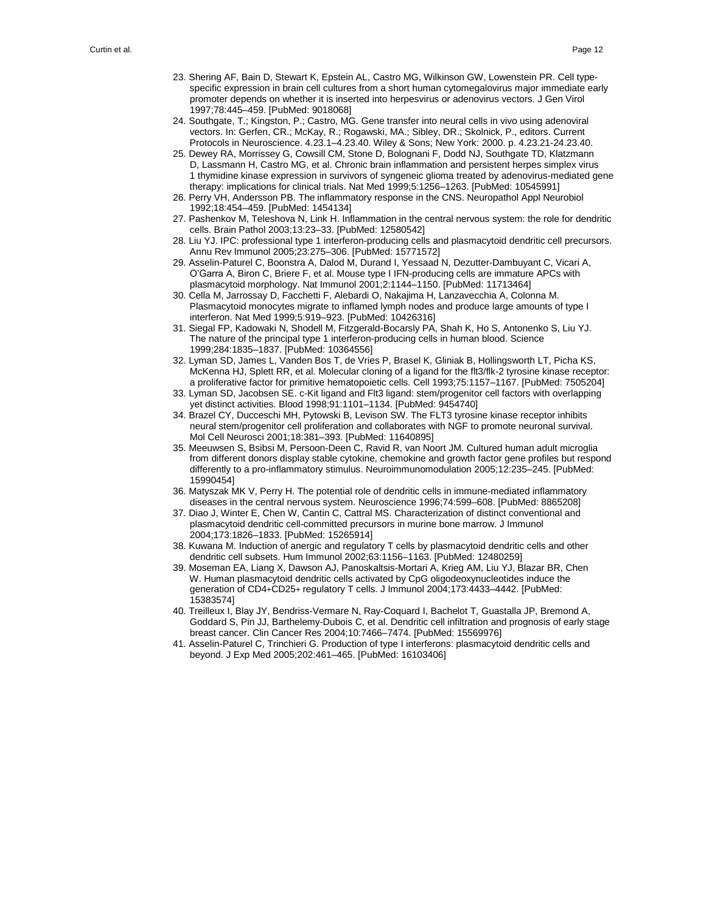- 23. Shering AF, Bain D, Stewart K, Epstein AL, Castro MG, Wilkinson GW, Lowenstein PR. Cell type specific expression in brain cell cultures from a short human cytomegalovirus major immediate early promoter depends on whether it is inserted into herpesvirus or adenovirus vectors. J Gen Virol 1997;78:445–459. [PubMed: 9018068]
- 24. Southgate, T.; Kingston, P.; Castro, MG. Gene transfer into neural cells in vivo using adenoviral vectors. In: Gerfen, CR.; McKay, R.; Rogawski, MA.; Sibley, DR.; Skolnick, P., editors. Current Protocols in Neuroscience. 4.23.1–4.23.40. Wiley & Sons; New York: 2000. p. 4.23.21-24.23.40.
- 25. Dewey RA, Morrissey G, Cowsill CM, Stone D, Bolognani F, Dodd NJ, Southgate TD, Klatzmann D, Lassmann H, Castro MG, et al. Chronic brain inflammation and persistent herpes simplex virus 1 thymidine kinase expression in survivors of syngeneic glioma treated by adenovirus-mediated gene therapy: implications for clinical trials. Nat Med 1999;5:1256–1263. [PubMed: 10545991]
- 26. Perry VH, Andersson PB. The inflammatory response in the CNS. Neuropathol Appl Neurobiol 1992;18:454–459. [PubMed: 1454134]
- 27. Pashenkov M, Teleshova N, Link H. Inflammation in the central nervous system: the role for dendritic cells. Brain Pathol 2003;13:23–33. [PubMed: 12580542]
- 28. Liu YJ. IPC: professional type 1 interferon-producing cells and plasmacytoid dendritic cell precursors. Annu Rev Immunol 2005;23:275–306. [PubMed: 15771572]
- 29. Asselin-Paturel C, Boonstra A, Dalod M, Durand I, Yessaad N, Dezutter-Dambuyant C, Vicari A, O'Garra A, Biron C, Briere F, et al. Mouse type I IFN-producing cells are immature APCs with plasmacytoid morphology. Nat Immunol 2001;2:1144–1150. [PubMed: 11713464]
- 30. Cella M, Jarrossay D, Facchetti F, Alebardi O, Nakajima H, Lanzavecchia A, Colonna M. Plasmacytoid monocytes migrate to inflamed lymph nodes and produce large amounts of type I interferon. Nat Med 1999;5:919–923. [PubMed: 10426316]
- 31. Siegal FP, Kadowaki N, Shodell M, Fitzgerald-Bocarsly PA, Shah K, Ho S, Antonenko S, Liu YJ. The nature of the principal type 1 interferon-producing cells in human blood. Science 1999;284:1835–1837. [PubMed: 10364556]
- 32. Lyman SD, James L, Vanden Bos T, de Vries P, Brasel K, Gliniak B, Hollingsworth LT, Picha KS, McKenna HJ, Splett RR, et al. Molecular cloning of a ligand for the flt3/flk-2 tyrosine kinase receptor: a proliferative factor for primitive hematopoietic cells. Cell 1993;75:1157–1167. [PubMed: 7505204]
- 33. Lyman SD, Jacobsen SE. c-Kit ligand and Flt3 ligand: stem/progenitor cell factors with overlapping yet distinct activities. Blood 1998;91:1101–1134. [PubMed: 9454740]
- 34. Brazel CY, Ducceschi MH, Pytowski B, Levison SW. The FLT3 tyrosine kinase receptor inhibits neural stem/progenitor cell proliferation and collaborates with NGF to promote neuronal survival. Mol Cell Neurosci 2001;18:381–393. [PubMed: 11640895]
- 35. Meeuwsen S, Bsibsi M, Persoon-Deen C, Ravid R, van Noort JM. Cultured human adult microglia from different donors display stable cytokine, chemokine and growth factor gene profiles but respond differently to a pro-inflammatory stimulus. Neuroimmunomodulation 2005;12:235–245. [PubMed: 15990454]
- 36. Matyszak MK V, Perry H. The potential role of dendritic cells in immune-mediated inflammatory diseases in the central nervous system. Neuroscience 1996;74:599–608. [PubMed: 8865208]
- 37. Diao J, Winter E, Chen W, Cantin C, Cattral MS. Characterization of distinct conventional and plasmacytoid dendritic cell-committed precursors in murine bone marrow. J Immunol 2004;173:1826–1833. [PubMed: 15265914]
- 38. Kuwana M. Induction of anergic and regulatory T cells by plasmacytoid dendritic cells and other dendritic cell subsets. Hum Immunol 2002;63:1156–1163. [PubMed: 12480259]
- 39. Moseman EA, Liang X, Dawson AJ, Panoskaltsis-Mortari A, Krieg AM, Liu YJ, Blazar BR, Chen W. Human plasmacytoid dendritic cells activated by CpG oligodeoxynucleotides induce the generation of CD4+CD25+ regulatory T cells. J Immunol 2004;173:4433–4442. [PubMed: 15383574]
- 40. Treilleux I, Blay JY, Bendriss-Vermare N, Ray-Coquard I, Bachelot T, Guastalla JP, Bremond A, Goddard S, Pin JJ, Barthelemy-Dubois C, et al. Dendritic cell infiltration and prognosis of early stage breast cancer. Clin Cancer Res 2004;10:7466–7474. [PubMed: 15569976]
- 41. Asselin-Paturel C, Trinchieri G. Production of type I interferons: plasmacytoid dendritic cells and beyond. J Exp Med 2005;202:461–465. [PubMed: 16103406]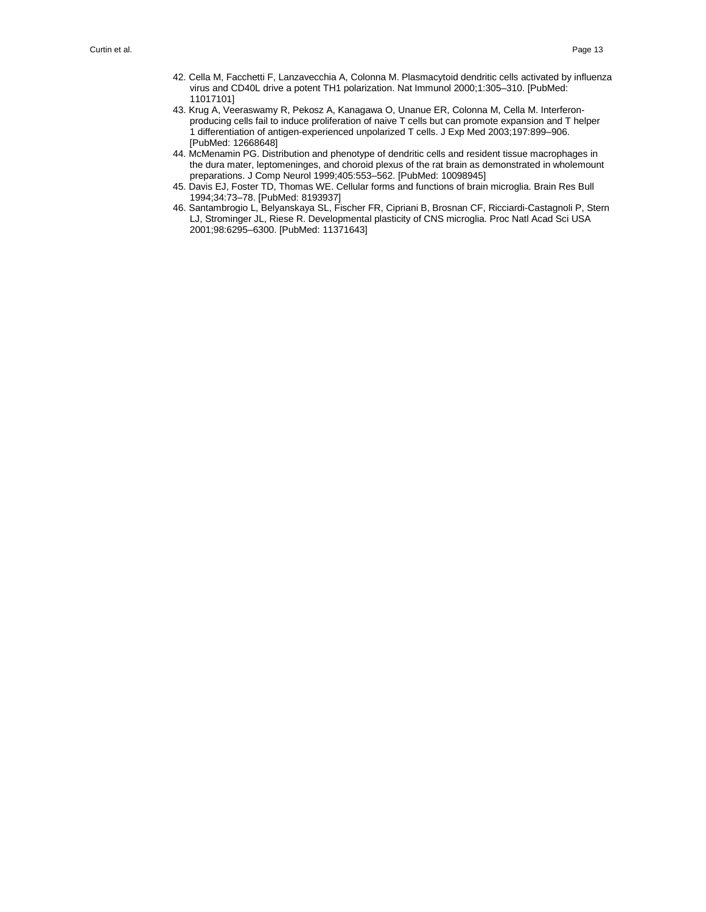- 42. Cella M, Facchetti F, Lanzavecchia A, Colonna M. Plasmacytoid dendritic cells activated by influenza virus and CD40L drive a potent TH1 polarization. Nat Immunol 2000;1:305–310. [PubMed: 11017101]
- 43. Krug A, Veeraswamy R, Pekosz A, Kanagawa O, Unanue ER, Colonna M, Cella M. Interferon producing cells fail to induce proliferation of naive T cells but can promote expansion and T helper 1 differentiation of antigen-experienced unpolarized T cells. J Exp Med 2003;197:899–906. [PubMed: 12668648]
- 44. McMenamin PG. Distribution and phenotype of dendritic cells and resident tissue macrophages in the dura mater, leptomeninges, and choroid plexus of the rat brain as demonstrated in wholemount preparations. J Comp Neurol 1999;405:553–562. [PubMed: 10098945]
- 45. Davis EJ, Foster TD, Thomas WE. Cellular forms and functions of brain microglia. Brain Res Bull 1994;34:73–78. [PubMed: 8193937]
- 46. Santambrogio L, Belyanskaya SL, Fischer FR, Cipriani B, Brosnan CF, Ricciardi-Castagnoli P, Stern LJ, Strominger JL, Riese R. Developmental plasticity of CNS microglia. Proc Natl Acad Sci USA 2001;98:6295–6300. [PubMed: 11371643]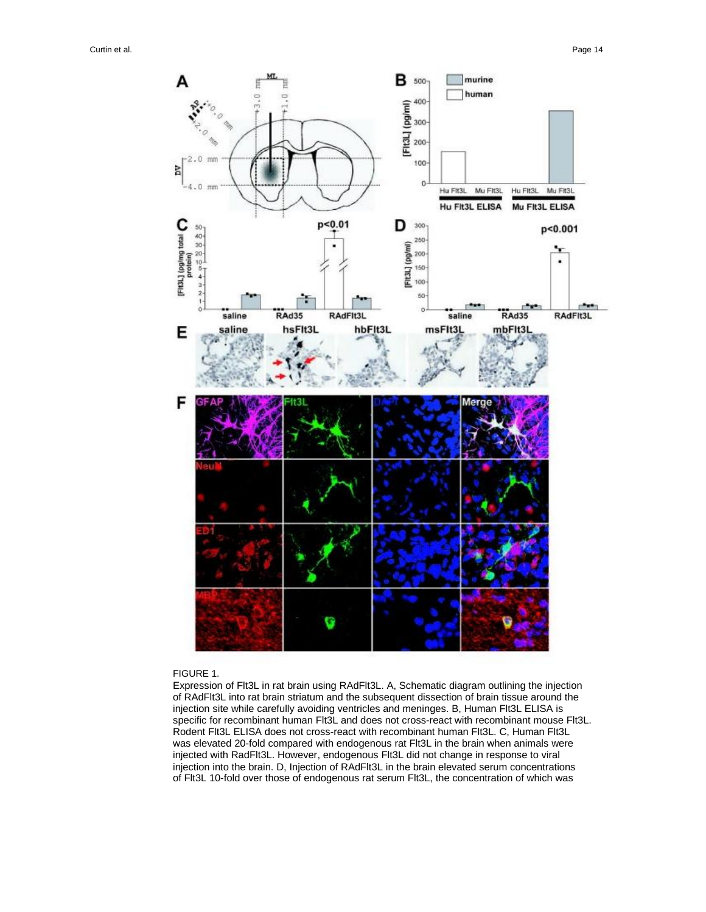

#### FIGURE 1.

Expression of Flt3L in rat brain using RAdFlt3L. A, Schematic diagram outlining the injection of RAdFlt3L into rat brain striatum and the subsequent dissection of brain tissue around the injection site while carefully avoiding ventricles and meninges. B, Human Flt3L ELISA is specific for recombinant human Flt3L and does not cross-react with recombinant mouse Flt3L. Rodent Flt3L ELISA does not cross-react with recombinant human Flt3L. C, Human Flt3L was elevated 20-fold compared with endogenous rat Flt3L in the brain when animals were injected with RadFlt3L. However, endogenous Flt3L did not change in response to viral injection into the brain. D, Injection of RAdFlt3L in the brain elevated serum concentrations of Flt3L 10-fold over those of endogenous rat serum Flt3L, the concentration of which was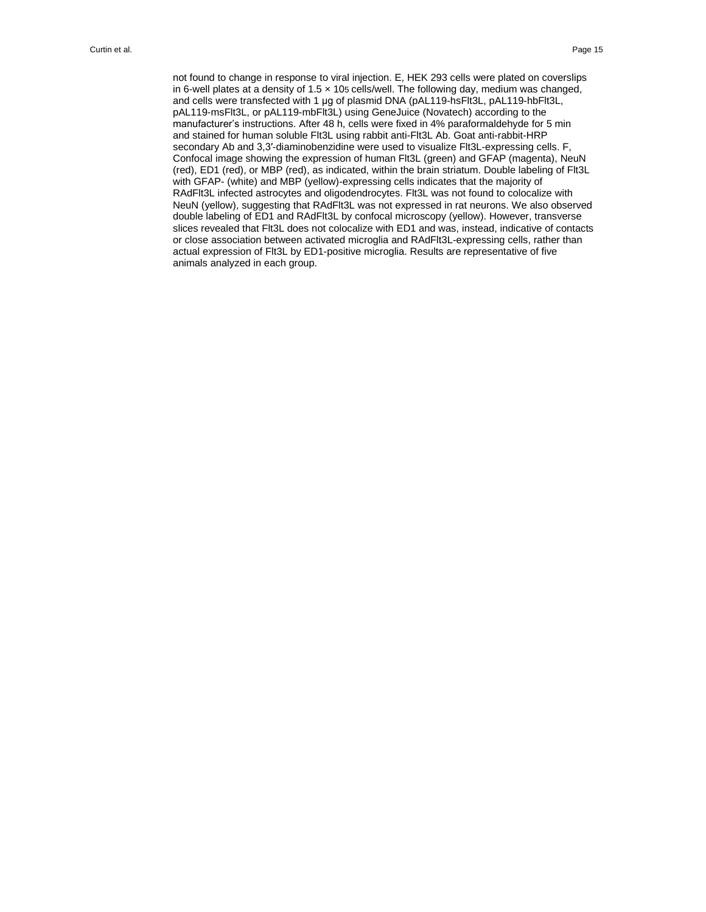not found to change in response to viral injection. E, HEK 293 cells were plated on coverslips in 6-well plates at a density of 1.5 × 105 cells/well. The following day, medium was changed, and cells were transfected with 1 μg of plasmid DNA (pAL119-hsFlt3L, pAL119-hbFlt3L, pAL119-msFlt3L, or pAL119-mbFlt3L) using GeneJuice (Novatech) according to the manufacturer's instructions. After 48 h, cells were fixed in 4% paraformaldehyde for 5 min and stained for human soluble Flt3L using rabbit anti-Flt3L Ab. Goat anti-rabbit-HRP secondary Ab and 3,3′-diaminobenzidine were used to visualize Flt3L-expressing cells. F, Confocal image showing the expression of human Flt3L (green) and GFAP (magenta), NeuN (red), ED1 (red), or MBP (red), as indicated, within the brain striatum. Double labeling of Flt3L with GFAP- (white) and MBP (yellow)-expressing cells indicates that the majority of RAdFlt3L infected astrocytes and oligodendrocytes. Flt3L was not found to colocalize with NeuN (yellow), suggesting that RAdFlt3L was not expressed in rat neurons. We also observed double labeling of ED1 and RAdFlt3L by confocal microscopy (yellow). However, transverse slices revealed that Flt3L does not colocalize with ED1 and was, instead, indicative of contacts or close association between activated microglia and RAdFlt3L-expressing cells, rather than actual expression of Flt3L by ED1-positive microglia. Results are representative of five animals analyzed in each group.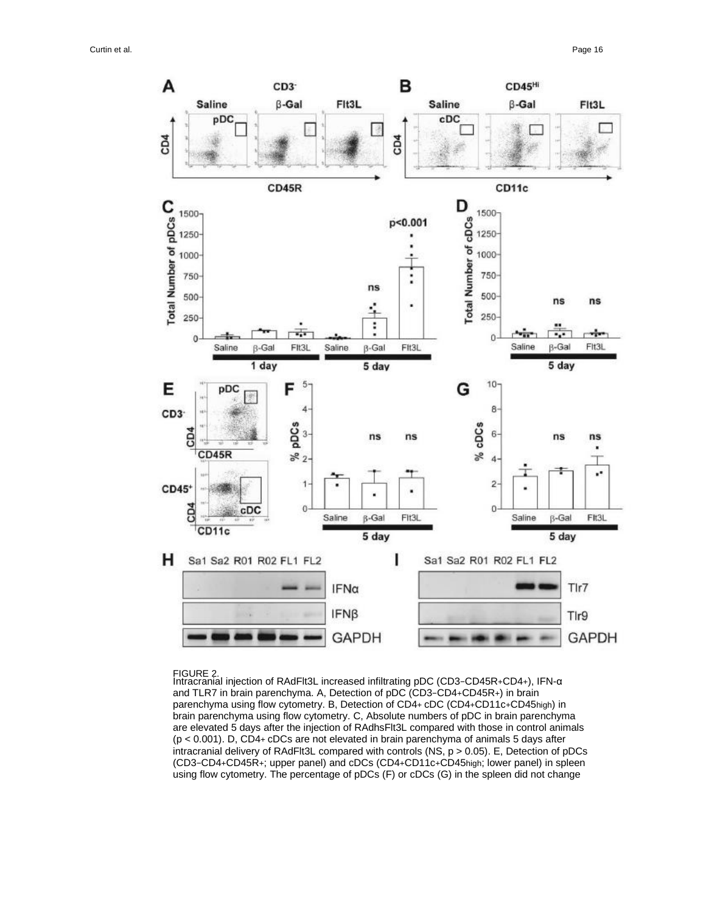

FIGURE 2. Intracranial injection of RAdFlt3L increased infiltrating pDC (CD3−CD45R+CD4+), IFN-α and TLR7 in brain parenchyma. A, Detection of pDC (CD3−CD4+CD45R+) in brain parenchyma using flow cytometry. B, Detection of CD4+ cDC (CD4+CD11c+CD45high) in brain parenchyma using flow cytometry. C, Absolute numbers of pDC in brain parenchyma are elevated 5 days after the injection of RAdhsFlt3L compared with those in control animals (p < 0.001). D, CD4+ cDCs are not elevated in brain parenchyma of animals 5 days after intracranial delivery of RAdFlt3L compared with controls (NS, p > 0.05). E, Detection of pDCs (CD3−CD4+CD45R+; upper panel) and cDCs (CD4+CD11c+CD45high; lower panel) in spleen using flow cytometry. The percentage of pDCs (F) or cDCs (G) in the spleen did not change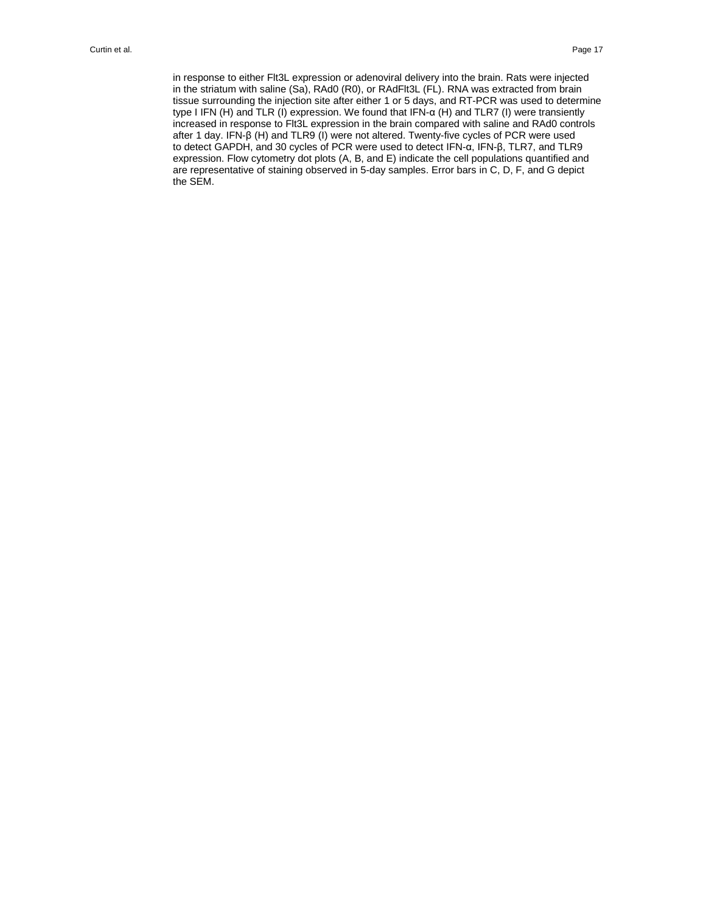in response to either Flt3L expression or adenoviral delivery into the brain. Rats were injected in the striatum with saline (Sa), RAd0 (R0), or RAdFlt3L (FL). RNA was extracted from brain tissue surrounding the injection site after either 1 or 5 days, and RT-PCR was used to determine type I IFN (H) and TLR (I) expression. We found that IFN-α (H) and TLR7 (I) were transiently increased in response to Flt3L expression in the brain compared with saline and RAd0 controls after 1 day. IFN-β (H) and TLR9 (I) were not altered. Twenty-five cycles of PCR were used to detect GAPDH, and 30 cycles of PCR were used to detect IFN-α, IFN-β, TLR7, and TLR9 expression. Flow cytometry dot plots (A, B, and E) indicate the cell populations quantified and are representative of staining observed in 5-day samples. Error bars in C, D, F, and G depict the SEM.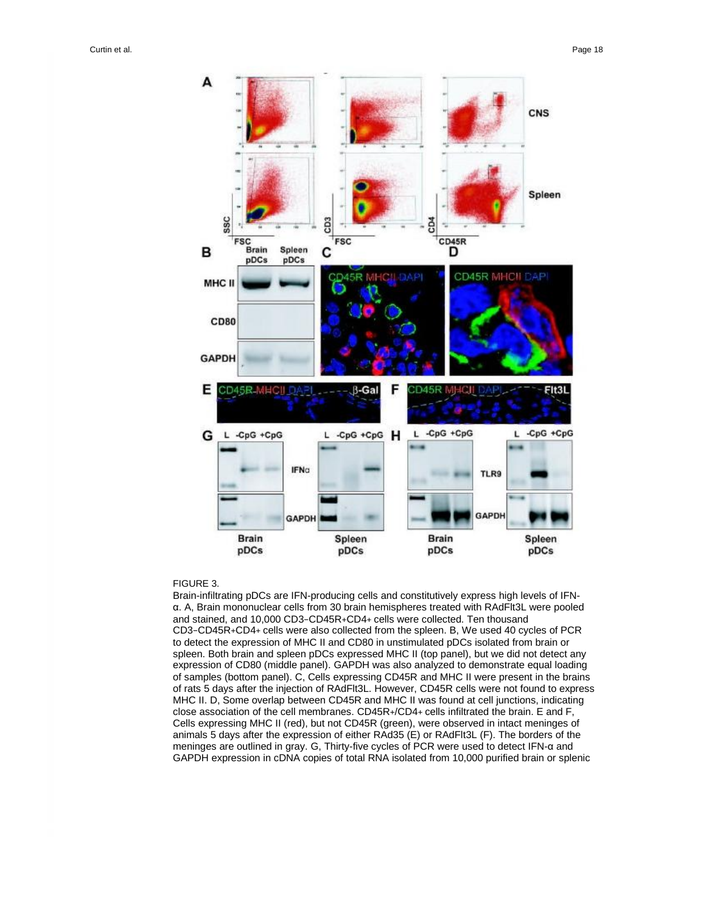

#### FIGURE 3.

Brain-infiltrating pDCs are IFN-producing cells and constitutively express high levels of IFNα. A, Brain mononuclear cells from 30 brain hemispheres treated with RAdFlt3L were pooled and stained, and 10,000 CD3−CD45R+CD4+ cells were collected. Ten thousand CD3−CD45R+CD4+ cells were also collected from the spleen. B, We used 40 cycles of PCR to detect the expression of MHC II and CD80 in unstimulated pDCs isolated from brain or spleen. Both brain and spleen pDCs expressed MHC II (top panel), but we did not detect any expression of CD80 (middle panel). GAPDH was also analyzed to demonstrate equal loading of samples (bottom panel). C, Cells expressing CD45R and MHC II were present in the brains of rats 5 days after the injection of RAdFlt3L. However, CD45R cells were not found to express MHC II. D, Some overlap between CD45R and MHC II was found at cell junctions, indicating close association of the cell membranes. CD45R+/CD4+ cells infiltrated the brain. E and F, Cells expressing MHC II (red), but not CD45R (green), were observed in intact meninges of animals 5 days after the expression of either RAd35 (E) or RAdFlt3L (F). The borders of the meninges are outlined in gray. G, Thirty-five cycles of PCR were used to detect IFN-α and GAPDH expression in cDNA copies of total RNA isolated from 10,000 purified brain or splenic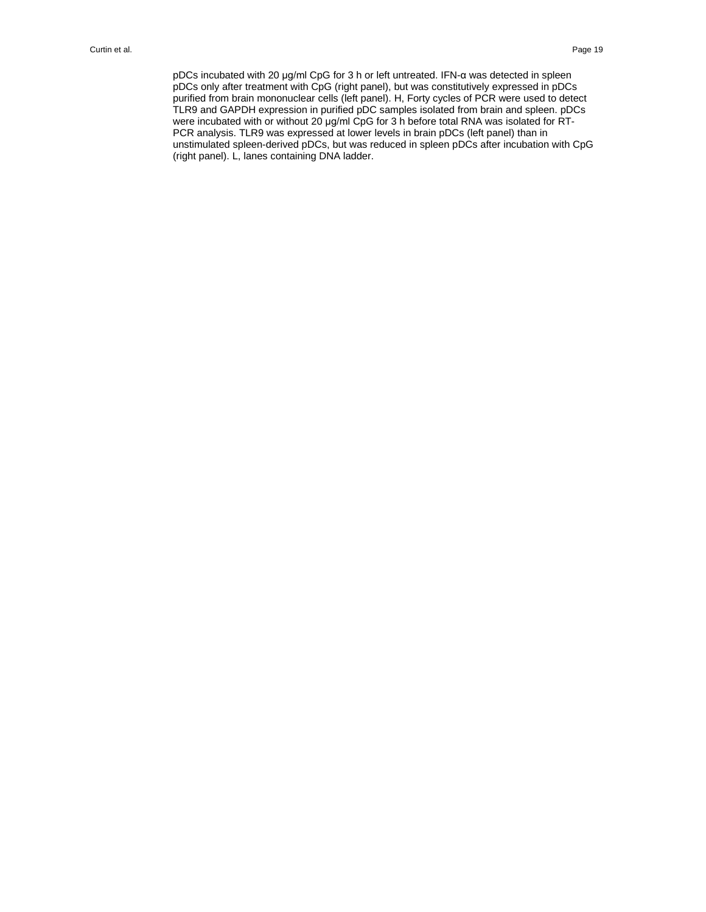pDCs incubated with 20 μg/ml CpG for 3 h or left untreated. IFN-α was detected in spleen pDCs only after treatment with CpG (right panel), but was constitutively expressed in pDCs purified from brain mononuclear cells (left panel). H, Forty cycles of PCR were used to detect TLR9 and GAPDH expression in purified pDC samples isolated from brain and spleen. pDCs were incubated with or without 20 μg/ml CpG for 3 h before total RNA was isolated for RT-PCR analysis. TLR9 was expressed at lower levels in brain pDCs (left panel) than in unstimulated spleen-derived pDCs, but was reduced in spleen pDCs after incubation with CpG (right panel). L, lanes containing DNA ladder.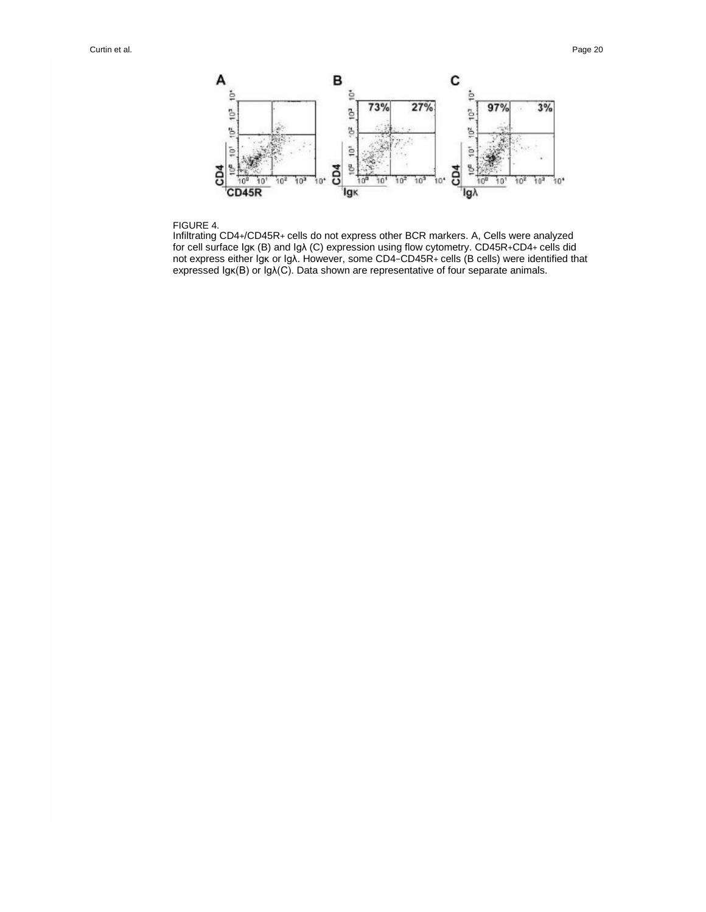

#### FIGURE 4.

Infiltrating CD4+/CD45R+ cells do not express other BCR markers. A, Cells were analyzed for cell surface Igκ (B) and Igλ (C) expression using flow cytometry. CD45R+CD4+ cells did not express either Igκ or Igλ. However, some CD4−CD45R+ cells (B cells) were identified that expressed Igκ(B) or Igλ(C). Data shown are representative of four separate animals.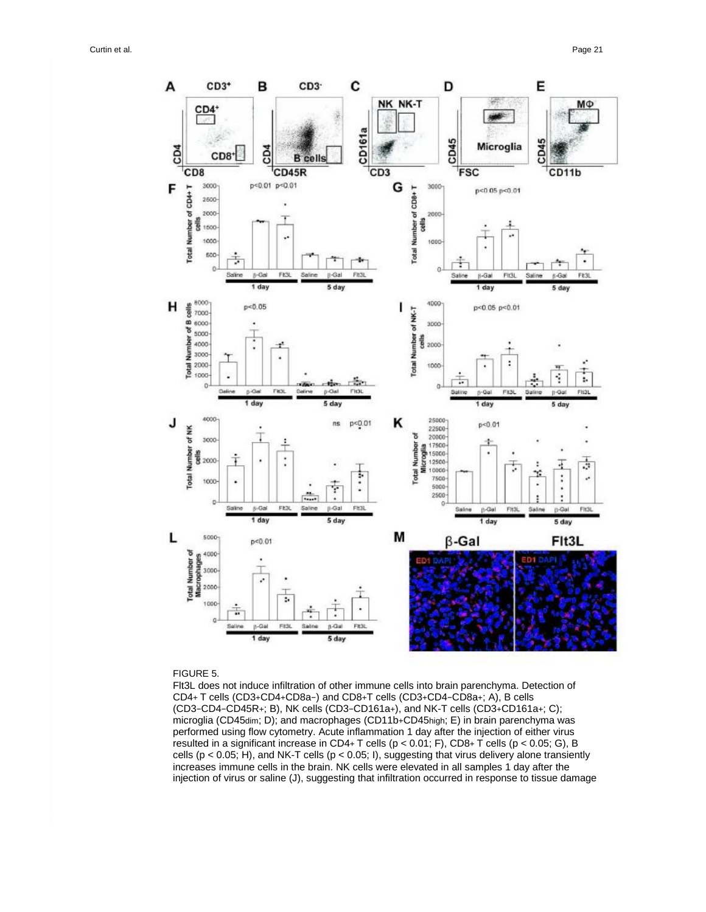

#### FIGURE 5.

Flt3L does not induce infiltration of other immune cells into brain parenchyma. Detection of CD4+ T cells (CD3+CD4+CD8a−) and CD8+T cells (CD3+CD4−CD8a+; A), B cells (CD3−CD4−CD45R+; B), NK cells (CD3−CD161a+), and NK-T cells (CD3+CD161a+; C); microglia (CD45dim; D); and macrophages (CD11b+CD45high; E) in brain parenchyma was performed using flow cytometry. Acute inflammation 1 day after the injection of either virus resulted in a significant increase in CD4+ T cells (p < 0.01; F), CD8+ T cells (p < 0.05; G), B cells ( $p < 0.05$ ; H), and NK-T cells ( $p < 0.05$ ; I), suggesting that virus delivery alone transiently increases immune cells in the brain. NK cells were elevated in all samples 1 day after the injection of virus or saline (J), suggesting that infiltration occurred in response to tissue damage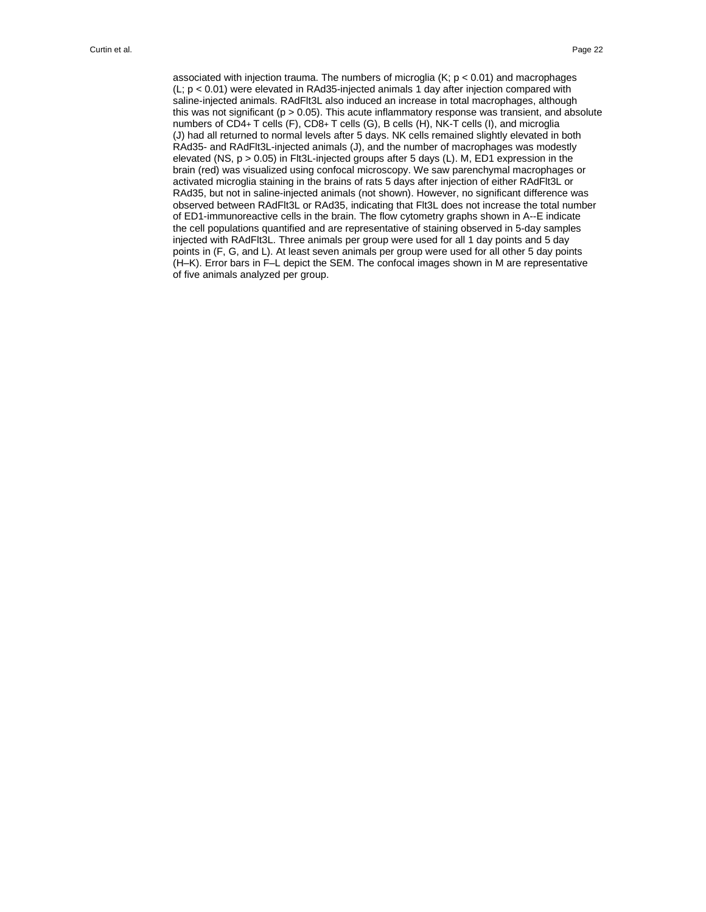associated with injection trauma. The numbers of microglia  $(K; p < 0.01)$  and macrophages  $(L; p < 0.01)$  were elevated in RAd35-injected animals 1 day after injection compared with saline-injected animals. RAdFlt3L also induced an increase in total macrophages, although this was not significant  $(p > 0.05)$ . This acute inflammatory response was transient, and absolute numbers of CD4+ T cells (F), CD8+ T cells (G), B cells (H), NK-T cells (I), and microglia (J) had all returned to normal levels after 5 days. NK cells remained slightly elevated in both RAd35- and RAdFlt3L-injected animals (J), and the number of macrophages was modestly elevated (NS, p > 0.05) in Flt3L-injected groups after 5 days (L). M, ED1 expression in the brain (red) was visualized using confocal microscopy. We saw parenchymal macrophages or activated microglia staining in the brains of rats 5 days after injection of either RAdFlt3L or RAd35, but not in saline-injected animals (not shown). However, no significant difference was observed between RAdFlt3L or RAd35, indicating that Flt3L does not increase the total number of ED1-immunoreactive cells in the brain. The flow cytometry graphs shown in A--E indicate the cell populations quantified and are representative of staining observed in 5-day samples injected with RAdFlt3L. Three animals per group were used for all 1 day points and 5 day points in (F, G, and L). At least seven animals per group were used for all other 5 day points (H–K). Error bars in F–L depict the SEM. The confocal images shown in M are representative of five animals analyzed per group.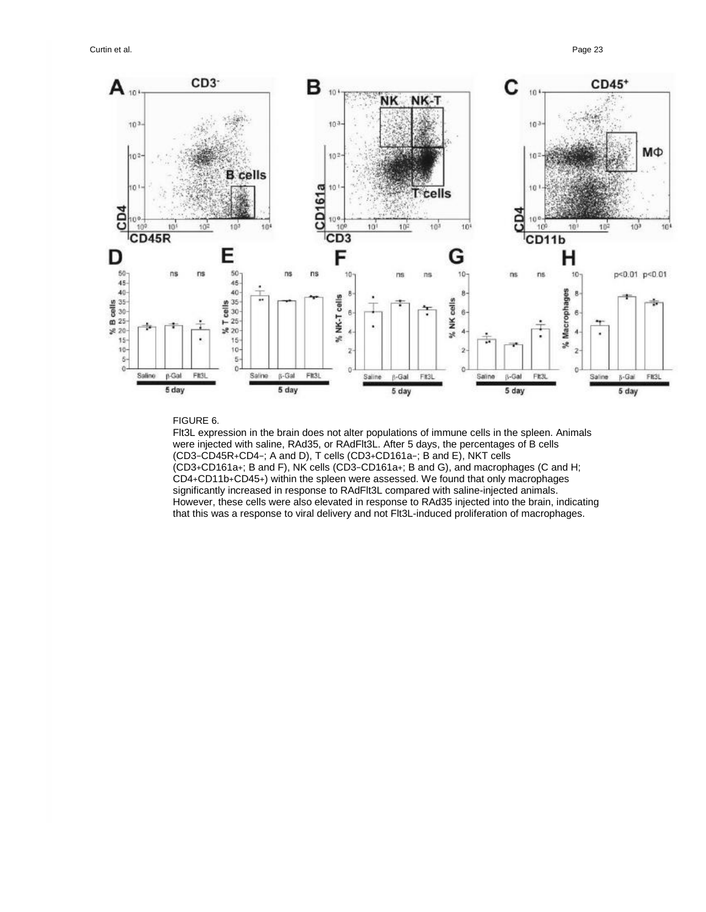

## FIGURE 6.

Flt3L expression in the brain does not alter populations of immune cells in the spleen. Animals were injected with saline, RAd35, or RAdFlt3L. After 5 days, the percentages of B cells (CD3−CD45R+CD4−; A and D), T cells (CD3+CD161a−; B and E), NKT cells (CD3+CD161a+; B and F), NK cells (CD3−CD161a+; B and G), and macrophages (C and H; CD4+CD11b+CD45+) within the spleen were assessed. We found that only macrophages significantly increased in response to RAdFlt3L compared with saline-injected animals. However, these cells were also elevated in response to RAd35 injected into the brain, indicating that this was a response to viral delivery and not Flt3L-induced proliferation of macrophages.